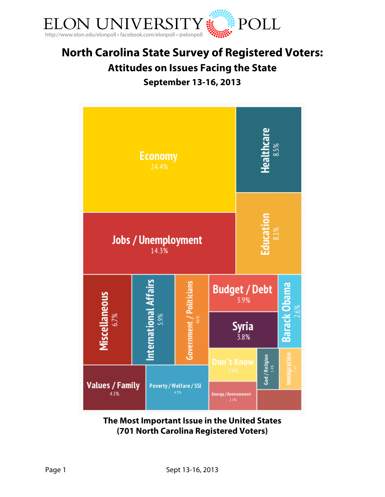

# **North Carolina State Survey of Registered Voters: Attitudes on Issues Facing the State September 13-16, 2013**



**The Most Important Issue in the United States (701 North Carolina Registered Voters)**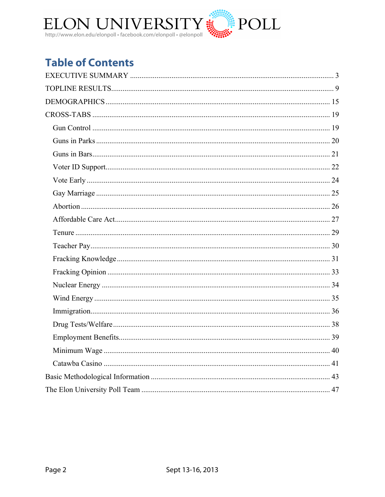

# **Table of Contents**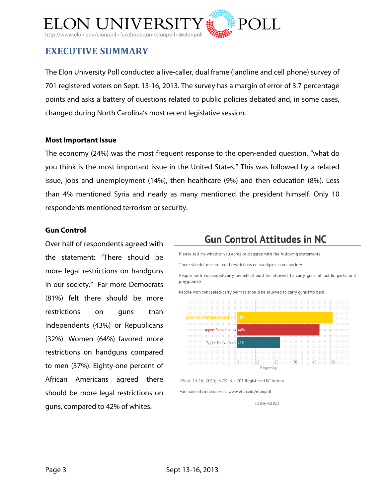

# **EXECUTIVE SUMMARY**

The Elon University Poll conducted a live-caller, dual frame (landline and cell phone) survey of 701 registered voters on Sept. 13-16, 2013. The survey has a margin of error of 3.7 percentage points and asks a battery of questions related to public policies debated and, in some cases, changed during North Carolina's most recent legislative session.

#### **Most Important Issue**

The economy (24%) was the most frequent response to the open-ended question, "what do you think is the most important issue in the United States." This was followed by a related issue, jobs and unemployment (14%), then healthcare (9%) and then education (8%). Less than 4% mentioned Syria and nearly as many mentioned the president himself. Only 10 respondents mentioned terrorism or security.

#### **Gun Control**

Over half of respondents agreed with the statement: "There should be more legal restrictions on handguns in our society." Far more Democrats (81%) felt there should be more restrictions on guns than Independents (43%) or Republicans (32%). Women (64%) favored more restrictions on handguns compared to men (37%). Eighty-one percent of African Americans agreed there should be more legal restrictions on guns, compared to 42% of whites.

# **Gun Control Attitudes in NC**

Please tell me whether you agree or disagree with the following statements:

There should be more legal restrictions on handguns in our society

People with concealed-carry permits should be allowed to carry guns at public parks and playgrounds

People with concealed-carry permits should be allowed to carry guns into bars



±Sept. 13-16, 2013; 3.7%; N = 701 Registered NC Voters

For more information visit: www.elon.edu/elonpoll

(c) Elon Poll 2013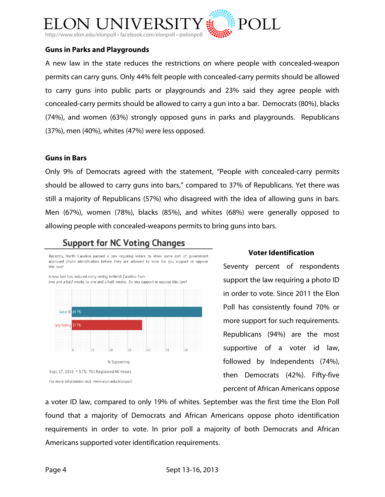

## **Guns in Parks and Playgrounds**

A new law in the state reduces the restrictions on where people with concealed-weapon permits can carry guns. Only 44% felt people with concealed-carry permits should be allowed to carry guns into public parts or playgrounds and 23% said they agree people with concealed-carry permits should be allowed to carry a gun into a bar. Democrats (80%), blacks (74%), and women (63%) strongly opposed guns in parks and playgrounds. Republicans (37%), men (40%), whites (47%) were less opposed.

#### **Guns in Bars**

Only 9% of Democrats agreed with the statement, "People with concealed-carry permits should be allowed to carry guns into bars," compared to 37% of Republicans. Yet there was still a majority of Republicans (57%) who disagreed with the idea of allowing guns in bars. Men (67%), women (78%), blacks (85%), and whites (68%) were generally opposed to allowing people with concealed-weapons permits to bring guns into bars.



# **Support for NC Voting Changes**

#### **Voter Identification**

Seventy percent of respondents support the law requiring a photo ID in order to vote. Since 2011 the Elon Poll has consistently found 70% or more support for such requirements. Republicans (94%) are the most supportive of a voter id law, followed by Independents (74%), then Democrats (42%). Fifty-five percent of African Americans oppose

a voter ID law, compared to only 19% of whites. September was the first time the Elon Poll found that a majority of Democrats and African Americans oppose photo identification requirements in order to vote. In prior poll a majority of both Democrats and African Americans supported voter identification requirements.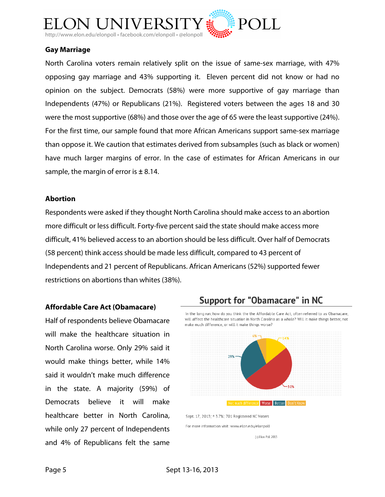

## **Gay Marriage**

North Carolina voters remain relatively split on the issue of same-sex marriage, with 47% opposing gay marriage and 43% supporting it. Eleven percent did not know or had no opinion on the subject. Democrats (58%) were more supportive of gay marriage than Independents (47%) or Republicans (21%). Registered voters between the ages 18 and 30 were the most supportive (68%) and those over the age of 65 were the least supportive (24%). For the first time, our sample found that more African Americans support same-sex marriage than oppose it. We caution that estimates derived from subsamples (such as black or women) have much larger margins of error. In the case of estimates for African Americans in our sample, the margin of error is  $\pm$  8.14.

#### **Abortion**

Respondents were asked if they thought North Carolina should make access to an abortion more difficult or less difficult. Forty-five percent said the state should make access more difficult, 41% believed access to an abortion should be less difficult. Over half of Democrats (58 percent) think access should be made less difficult, compared to 43 percent of Independents and 21 percent of Republicans. African Americans (52%) supported fewer restrictions on abortions than whites (38%).

#### **Affordable Care Act (Obamacare)**

Half of respondents believe Obamacare will make the healthcare situation in North Carolina worse. Only 29% said it would make things better, while 14% said it wouldn't make much difference in the state. A majority (59%) of Democrats believe it will make healthcare better in North Carolina, while only 27 percent of Independents and 4% of Republicans felt the same



# **Support for "Obamacare" in NC**

In the long run, how do you think the the Affordable Care Act, often referred to as Obamacare. will affect the healthcare situation in North Carolina as a whole? Will it make things better, not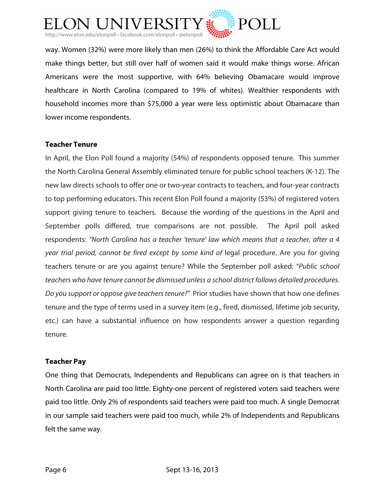

way. Women (32%) were more likely than men (26%) to think the Affordable Care Act would make things better, but still over half of women said it would make things worse. African Americans were the most supportive, with 64% believing Obamacare would improve healthcare in North Carolina (compared to 19% of whites). Wealthier respondents with household incomes more than \$75,000 a year were less optimistic about Obamacare than lower income respondents.

## **Teacher Tenure**

In April, the Elon Poll found a majority (54%) of respondents opposed tenure. This summer the North Carolina General Assembly eliminated tenure for public school teachers (K-12). The new law directs schools to offer one or two-year contracts to teachers, and four-year contracts to top performing educators. This recent Elon Poll found a majority (53%) of registered voters support giving tenure to teachers. Because the wording of the questions in the April and September polls differed, true comparisons are not possible. The April poll asked respondents: *"North Carolina has a teacher 'tenure' law which means that a teacher, after a 4*  year trial period, cannot be fired except by some kind of legal procedure. Are you for giving teachers tenure or are you against tenure? While the September poll asked: "*Public school teachers who have tenure cannot be dismissed unless a school district follows detailed procedures. Do you support or oppose give teachers tenure?"* Prior studies have shown that how one defines tenure and the type of terms used in a survey item (e.g., fired, dismissed, lifetime job security, etc.) can have a substantial influence on how respondents answer a question regarding tenure.

#### **Teacher Pay**

One thing that Democrats, Independents and Republicans can agree on is that teachers in North Carolina are paid too little. Eighty-one percent of registered voters said teachers were paid too little. Only 2% of respondents said teachers were paid too much. A single Democrat in our sample said teachers were paid too much, while 2% of Independents and Republicans felt the same way.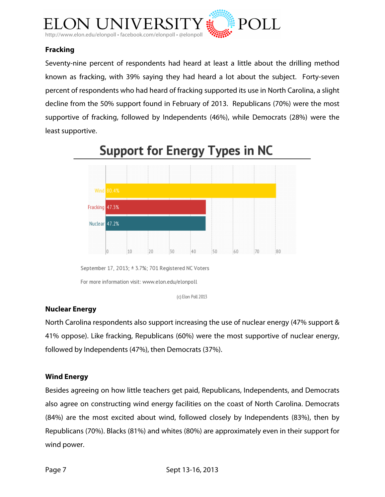

## **Fracking**

Seventy-nine percent of respondents had heard at least a little about the drilling method known as fracking, with 39% saying they had heard a lot about the subject. Forty-seven percent of respondents who had heard of fracking supported its use in North Carolina, a slight decline from the 50% support found in February of 2013. Republicans (70%) were the most supportive of fracking, followed by Independents (46%), while Democrats (28%) were the least supportive.



# **Support for Energy Types in NC**

September 17, 2013; ± 3.7%; 701 Registered NC Voters

For more information visit: www.elon.edu/elonpoll

(c) Elon Poll 2013

## **Nuclear Energy**

North Carolina respondents also support increasing the use of nuclear energy (47% support & 41% oppose). Like fracking, Republicans (60%) were the most supportive of nuclear energy, followed by Independents (47%), then Democrats (37%).

## **Wind Energy**

Besides agreeing on how little teachers get paid, Republicans, Independents, and Democrats also agree on constructing wind energy facilities on the coast of North Carolina. Democrats (84%) are the most excited about wind, followed closely by Independents (83%), then by Republicans (70%). Blacks (81%) and whites (80%) are approximately even in their support for wind power.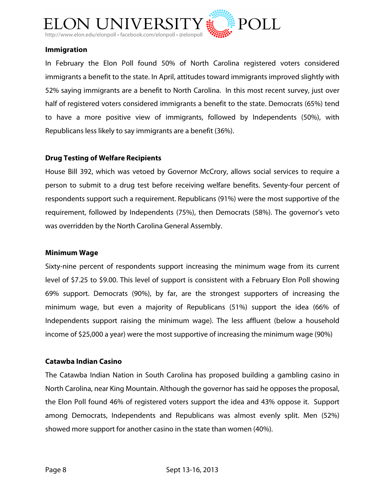

#### **Immigration**

In February the Elon Poll found 50% of North Carolina registered voters considered immigrants a benefit to the state. In April, attitudes toward immigrants improved slightly with 52% saying immigrants are a benefit to North Carolina. In this most recent survey, just over half of registered voters considered immigrants a benefit to the state. Democrats (65%) tend to have a more positive view of immigrants, followed by Independents (50%), with Republicans less likely to say immigrants are a benefit (36%).

#### **Drug Testing of Welfare Recipients**

House Bill 392, which was vetoed by Governor McCrory, allows social services to require a person to submit to a drug test before receiving welfare benefits. Seventy-four percent of respondents support such a requirement. Republicans (91%) were the most supportive of the requirement, followed by Independents (75%), then Democrats (58%). The governor's veto was overridden by the North Carolina General Assembly.

#### **Minimum Wage**

Sixty-nine percent of respondents support increasing the minimum wage from its current level of \$7.25 to \$9.00. This level of support is consistent with a February Elon Poll showing 69% support. Democrats (90%), by far, are the strongest supporters of increasing the minimum wage, but even a majority of Republicans (51%) support the idea (66% of Independents support raising the minimum wage). The less affluent (below a household income of \$25,000 a year) were the most supportive of increasing the minimum wage (90%)

#### **Catawba Indian Casino**

The Catawba Indian Nation in South Carolina has proposed building a gambling casino in North Carolina, near King Mountain. Although the governor has said he opposes the proposal, the Elon Poll found 46% of registered voters support the idea and 43% oppose it. Support among Democrats, Independents and Republicans was almost evenly split. Men (52%) showed more support for another casino in the state than women (40%).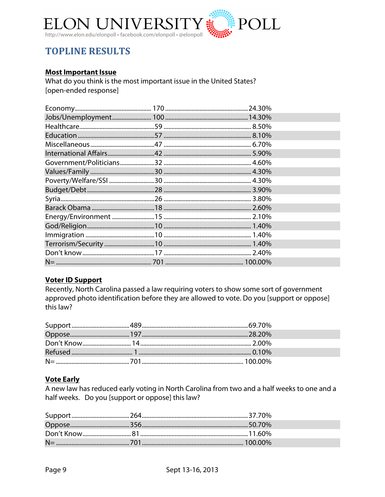

# **TOPLINE RESULTS**

#### **Most Important Issue**

What do you think is the most important issue in the United States? [open-ended response]

## **Voter ID Support**

Recently, North Carolina passed a law requiring voters to show some sort of government approved photo identification before they are allowed to vote. Do you [support or oppose] this law?

## **Vote Early**

A new law has reduced early voting in North Carolina from two and a half weeks to one and a half weeks. Do you [support or oppose] this law?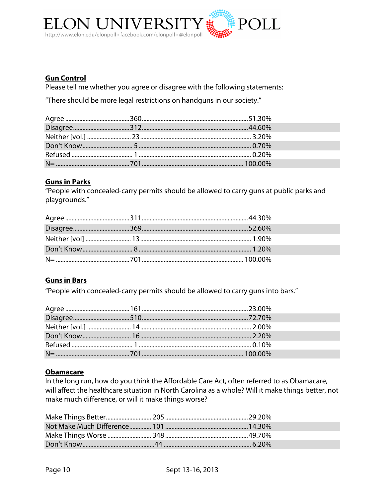

## **Gun Control**

Please tell me whether you agree or disagree with the following statements:

"There should be more legal restrictions on handguns in our society."

## <u>Guns in Parks</u>

"People with concealed-carry permits should be allowed to carry guns at public parks and playgrounds."

## **Guns in Bars**

"People with concealed-carry permits should be allowed to carry guns into bars."

## **Obamacare**

In the long run, how do you think the Affordable Care Act, often referred to as Obamacare, will affect the healthcare situation in North Carolina as a whole? Will it make things better, not make much difference, or will it make things worse?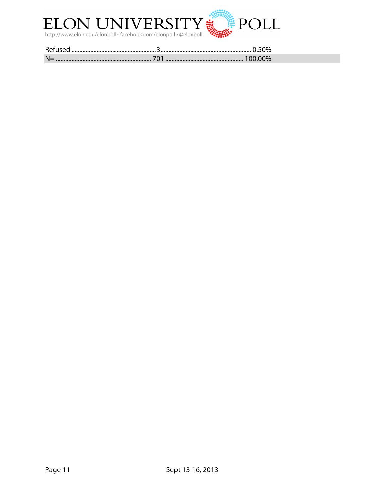

| $N=$ |  |
|------|--|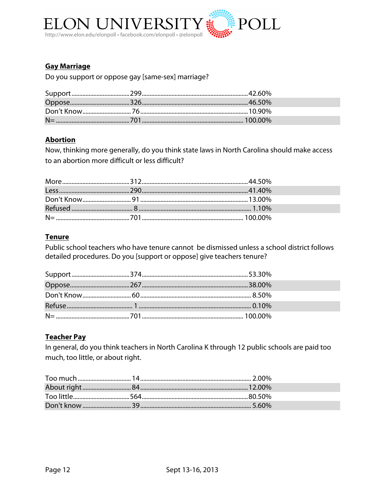

## **Gay Marriage**

Do you support or oppose gay [same-sex] marriage?

## **Abortion**

Now, thinking more generally, do you think state laws in North Carolina should make access to an abortion more difficult or less difficult?

#### **Tenure**

Public school teachers who have tenure cannot be dismissed unless a school district follows detailed procedures. Do you [support or oppose] give teachers tenure?

## **Teacher Pay**

In general, do you think teachers in North Carolina K through 12 public schools are paid too much, too little, or about right.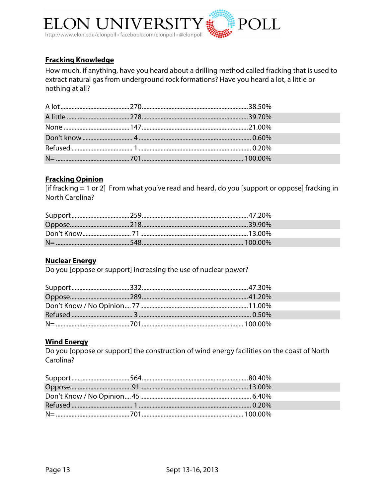

## **Fracking Knowledge**

How much, if anything, have you heard about a drilling method called fracking that is used to extract natural gas from underground rock formations? Have you heard a lot, a little or nothing at all?

## **Fracking Opinion**

[if fracking  $= 1$  or 2] From what you've read and heard, do you [support or oppose] fracking in North Carolina?

## **Nuclear Energy**

Do you [oppose or support] increasing the use of nuclear power?

#### **Wind Energy**

Do you [oppose or support] the construction of wind energy facilities on the coast of North Carolina?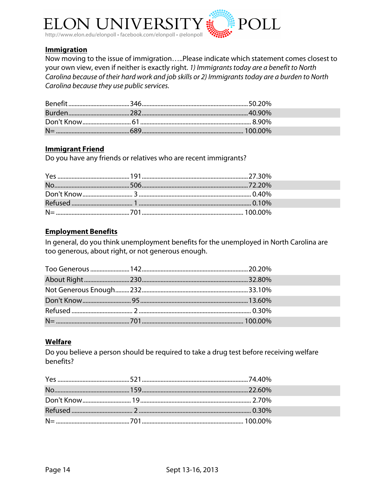

## **Immigration**

Now moving to the issue of immigration.....Please indicate which statement comes closest to your own view, even if neither is exactly right. 1) Immigrants today are a benefit to North Carolina because of their hard work and job skills or 2) Immigrants today are a burden to North Carolina because they use public services.

#### **Immigrant Friend**

Do you have any friends or relatives who are recent immigrants?

#### **Employment Benefits**

In general, do you think unemployment benefits for the unemployed in North Carolina are too generous, about right, or not generous enough.

#### Welfare

Do you believe a person should be required to take a drug test before receiving welfare benefits?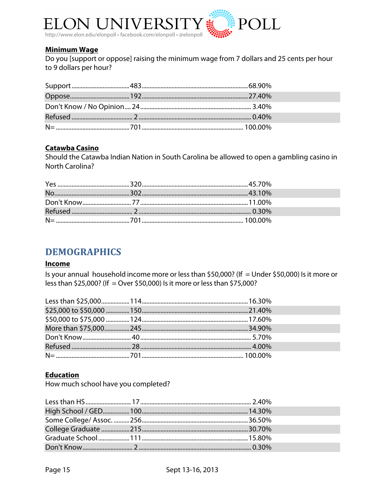

#### **Minimum Wage**

Do you [support or oppose] raising the minimum wage from 7 dollars and 25 cents per hour to 9 dollars per hour?

#### **Catawba Casino**

Should the Catawba Indian Nation in South Carolina be allowed to open a gambling casino in North Carolina?

# **DEMOGRAPHICS**

#### **Income**

Is your annual household income more or less than \$50,000? (If = Under \$50,000) Is it more or less than \$25,000? (If = Over \$50,000) Is it more or less than \$75,000?

## **Education**

How much school have you completed?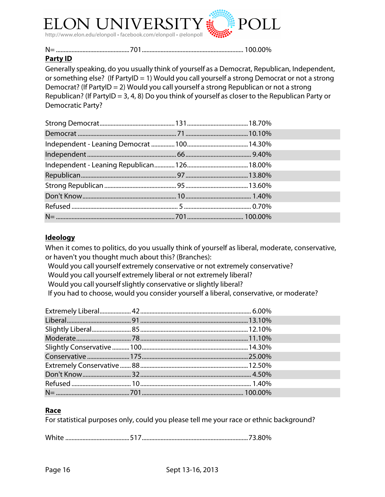

N= ...............................................701................................................................. 100.00%

## **Party ID**

Generally speaking, do you usually think of yourself as a Democrat, Republican, Independent, or something else? (If PartyID = 1) Would you call yourself a strong Democrat or not a strong Democrat? (If PartyID = 2) Would you call yourself a strong Republican or not a strong Republican? (If PartyID = 3, 4, 8) Do you think of yourself as closer to the Republican Party or Democratic Party?

## **Ideology**

When it comes to politics, do you usually think of yourself as liberal, moderate, conservative, or haven't you thought much about this? (Branches):

Would you call yourself extremely conservative or not extremely conservative? Would you call yourself extremely liberal or not extremely liberal? Would you call yourselfslightly conservative or slightly liberal? If you had to choose, would you consider yourself a liberal, conservative, or moderate?

## **Race**

For statistical purposes only, could you please tell me your race or ethnic background?

White .........................................517....................................................................73.80%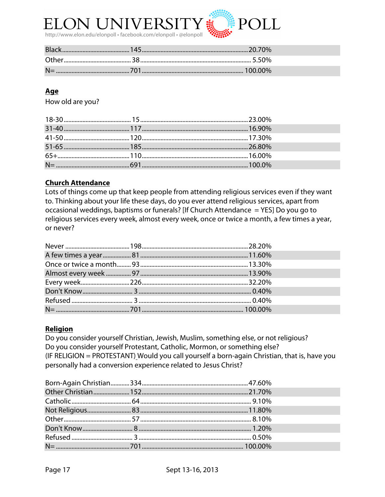

## Age

How old are you?

## **Church Attendance**

Lots of things come up that keep people from attending religious services even if they want to. Thinking about your life these days, do you ever attend religious services, apart from occasional weddings, baptisms or funerals? [If Church Attendance = YES] Do you go to religious services every week, almost every week, once or twice a month, a few times a year, or never?

## **Religion**

Do you consider yourself Christian, Jewish, Muslim, something else, or not religious? Do you consider yourself Protestant, Catholic, Mormon, or something else? (IF RELIGION = PROTESTANT) Would you call yourself a born-again Christian, that is, have you personally had a conversion experience related to Jesus Christ?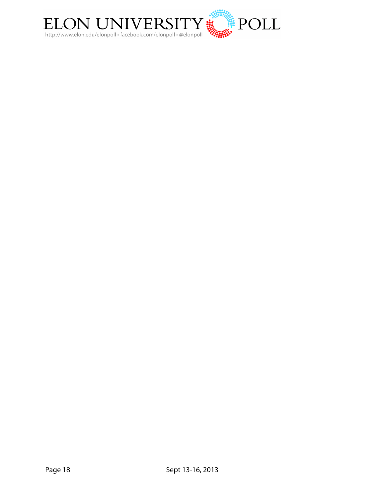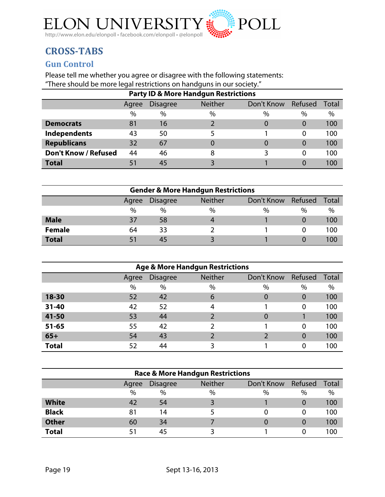

# **CROSS-TABS**

# **Gun Control**

Please tell me whether you agree or disagree with the following statements: "There should be more legal restrictions on handguns in our society."

| <b>Party ID &amp; More Handgun Restrictions</b>                              |      |    |   |      |          |      |  |
|------------------------------------------------------------------------------|------|----|---|------|----------|------|--|
| <b>Neither</b><br>Refused<br>Don't Know<br>Total<br><b>Disagree</b><br>Agree |      |    |   |      |          |      |  |
|                                                                              | $\%$ | %  | % | $\%$ | $\%$     | $\%$ |  |
| <b>Democrats</b>                                                             | 81   | 16 |   |      |          | 100  |  |
| <b>Independents</b>                                                          | 43   | 50 |   |      | 0        | 100  |  |
| <b>Republicans</b>                                                           | 32   | 67 |   |      | $\Omega$ | 100  |  |
| <b>Don't Know / Refused</b>                                                  | 44   | 46 | 8 |      | $\Omega$ | 100  |  |
| <b>Total</b>                                                                 | 51   | 45 |   |      |          | 100  |  |

| <b>Gender &amp; More Handgun Restrictions</b> |                                                                     |    |      |      |      |      |  |
|-----------------------------------------------|---------------------------------------------------------------------|----|------|------|------|------|--|
|                                               | <b>Neither</b><br>Refused<br>Don't Know<br><b>Disagree</b><br>Agree |    |      |      |      |      |  |
|                                               | $\%$                                                                | %  | $\%$ | $\%$ | $\%$ | $\%$ |  |
| <b>Male</b>                                   | -37                                                                 | 58 |      |      |      | 100  |  |
| <b>Female</b>                                 | 64                                                                  | 33 |      |      |      | 100  |  |
| <b>Total</b>                                  |                                                                     | 45 |      |      |      | 100  |  |

| <b>Age &amp; More Handgun Restrictions</b> |       |                 |                |            |          |       |
|--------------------------------------------|-------|-----------------|----------------|------------|----------|-------|
|                                            | Agree | <b>Disagree</b> | <b>Neither</b> | Don't Know | Refused  | Total |
|                                            | %     | $\%$            | %              | $\%$       | %        | %     |
| 18-30                                      | 52    | 42              | 6              | O          | $\Omega$ | 100   |
| $31 - 40$                                  | 42    | 52              | 4              |            | $\Omega$ | 100   |
| 41-50                                      | 53    | 44              |                | 0          |          | 100   |
| $51 - 65$                                  | 55    | 42              |                |            | $\Omega$ | 100   |
| $65+$                                      | 54    | 43              |                |            | $\Omega$ | 100   |
| <b>Total</b>                               | 52    | 44              |                |            |          | 100   |

| <b>Race &amp; More Handgun Restrictions</b> |       |                 |                |            |         |       |
|---------------------------------------------|-------|-----------------|----------------|------------|---------|-------|
|                                             | Agree | <b>Disagree</b> | <b>Neither</b> | Don't Know | Refused | Total |
|                                             | %     | $\%$            | %              | $\%$       | $\%$    | %     |
| <b>White</b>                                | 42    | 54              | ર              |            |         | 100   |
| <b>Black</b>                                | 81    | 14              |                |            |         | 100   |
| <b>Other</b>                                | 60    | 34              |                |            |         | 100   |
| <b>Total</b>                                | 51    | 45              |                |            |         | 100   |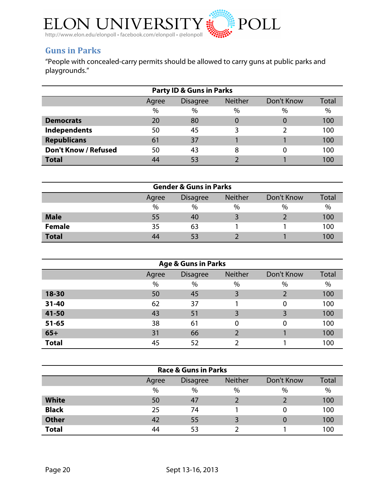

# **Guns in Parks**

"People with concealed-carry permits should be allowed to carry guns at public parks and playgrounds."

| <b>Party ID &amp; Guns in Parks</b>                                      |      |      |      |   |      |  |  |
|--------------------------------------------------------------------------|------|------|------|---|------|--|--|
| <b>Neither</b><br>Don't Know<br><b>Disagree</b><br><b>Total</b><br>Agree |      |      |      |   |      |  |  |
|                                                                          | $\%$ | $\%$ | $\%$ | % | $\%$ |  |  |
| <b>Democrats</b>                                                         | 20   | 80   | 0    | 0 | 100  |  |  |
| Independents                                                             | 50   | 45   | 3    |   | 100  |  |  |
| <b>Republicans</b>                                                       | 61   | 37   |      |   | 100  |  |  |
| <b>Don't Know / Refused</b>                                              | 50   | 43   | 8    | 0 | 100  |  |  |
| <b>Total</b>                                                             | 44   | 53   |      |   | 100  |  |  |

| <b>Gender &amp; Guns in Parks</b> |                                                          |      |   |   |     |  |  |
|-----------------------------------|----------------------------------------------------------|------|---|---|-----|--|--|
|                                   | <b>Neither</b><br>Don't Know<br><b>Disagree</b><br>Agree |      |   |   |     |  |  |
|                                   | $\%$                                                     | $\%$ | % | % | %   |  |  |
| <b>Male</b>                       | 55                                                       | 40   | っ |   | 100 |  |  |
| <b>Female</b>                     | 35                                                       | 63   |   |   | 100 |  |  |
| <b>Total</b>                      | 44                                                       | 53   |   |   | 100 |  |  |

| <b>Age &amp; Guns in Parks</b> |       |            |              |   |      |  |  |  |
|--------------------------------|-------|------------|--------------|---|------|--|--|--|
|                                | Agree | Don't Know | <b>Total</b> |   |      |  |  |  |
|                                | %     | %          | %            | % | $\%$ |  |  |  |
| 18-30                          | 50    | 45         | 3            |   | 100  |  |  |  |
| $31 - 40$                      | 62    | 37         |              | 0 | 100  |  |  |  |
| 41-50                          | 43    | 51         | 3            | 3 | 100  |  |  |  |
| $51 - 65$                      | 38    | 61         | 0            | 0 | 100  |  |  |  |
| $65+$                          | 31    | 66         |              |   | 100  |  |  |  |
| <b>Total</b>                   | 45    | 52         |              |   | 100  |  |  |  |

| <b>Race &amp; Guns in Parks</b> |                                                          |    |   |      |     |  |  |
|---------------------------------|----------------------------------------------------------|----|---|------|-----|--|--|
|                                 | <b>Neither</b><br>Don't Know<br><b>Disagree</b><br>Agree |    |   |      |     |  |  |
|                                 | %                                                        | %  | % | $\%$ | %   |  |  |
| <b>White</b>                    | 50                                                       | 47 |   |      | 100 |  |  |
| <b>Black</b>                    | 25                                                       | 74 |   | 0    | 100 |  |  |
| <b>Other</b>                    | 42                                                       | 55 |   |      | 100 |  |  |
| <b>Total</b>                    | 44                                                       | 53 |   |      | 100 |  |  |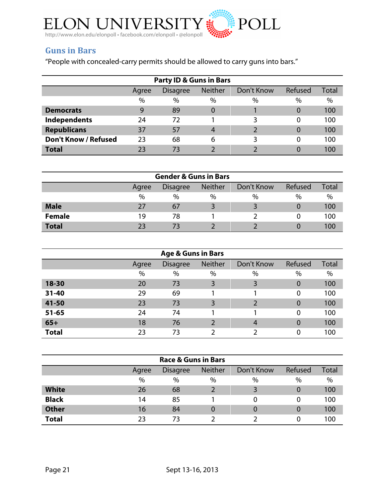

# **Guns in Bars**

"People with concealed-carry permits should be allowed to carry guns into bars."

| <b>Party ID &amp; Guns in Bars</b>                                           |      |      |      |      |      |     |  |  |
|------------------------------------------------------------------------------|------|------|------|------|------|-----|--|--|
| <b>Neither</b><br>Don't Know<br>Refused<br>Total<br><b>Disagree</b><br>Agree |      |      |      |      |      |     |  |  |
|                                                                              | $\%$ | $\%$ | $\%$ | $\%$ | $\%$ | %   |  |  |
| <b>Democrats</b>                                                             | 9    | 89   |      |      |      | 100 |  |  |
| Independents                                                                 | 24   | 72   |      |      | 0    | 100 |  |  |
| <b>Republicans</b>                                                           | 37   | 57   | 4    |      | 0    | 100 |  |  |
| <b>Don't Know / Refused</b>                                                  | 23   | 68   | 6    | 3    | 0    | 100 |  |  |
| <b>Total</b>                                                                 | 23   | 73   |      |      |      | 100 |  |  |

| <b>Gender &amp; Guns in Bars</b> |                                                                              |      |      |      |      |     |  |  |  |
|----------------------------------|------------------------------------------------------------------------------|------|------|------|------|-----|--|--|--|
|                                  | Refused<br><b>Neither</b><br>Don't Know<br>Total<br><b>Disagree</b><br>Agree |      |      |      |      |     |  |  |  |
|                                  | $\%$                                                                         | $\%$ | $\%$ | $\%$ | $\%$ | %   |  |  |  |
| <b>Male</b>                      | 27                                                                           | 67   | 3    |      |      | 100 |  |  |  |
| <b>Female</b>                    | 19                                                                           | 78   |      |      |      | 100 |  |  |  |
| <b>Total</b>                     | つろ                                                                           |      |      |      |      | 100 |  |  |  |

| <b>Age &amp; Guns in Bars</b> |       |                 |                |                |                |       |  |  |  |
|-------------------------------|-------|-----------------|----------------|----------------|----------------|-------|--|--|--|
|                               | Agree | <b>Disagree</b> | <b>Neither</b> | Don't Know     | Refused        | Total |  |  |  |
|                               | $\%$  | $\%$            | %              | %              | $\%$           | $\%$  |  |  |  |
| 18-30                         | 20    | 73              | 3              | 3              | $\overline{0}$ | 100   |  |  |  |
| 31-40                         | 29    | 69              |                |                | $\Omega$       | 100   |  |  |  |
| 41-50                         | 23    | 73              | 3              |                | $\overline{0}$ | 100   |  |  |  |
| $51 - 65$                     | 24    | 74              |                |                | 0              | 100   |  |  |  |
| $65+$                         | 18    | 76              | $\overline{2}$ | $\overline{4}$ | $\overline{0}$ | 100   |  |  |  |
| <b>Total</b>                  | 23    | 73              | າ              |                | 0              | 100   |  |  |  |

| <b>Race &amp; Guns in Bars</b> |                                                                     |      |               |      |      |     |  |  |
|--------------------------------|---------------------------------------------------------------------|------|---------------|------|------|-----|--|--|
|                                | Refused<br><b>Neither</b><br>Don't Know<br><b>Disagree</b><br>Agree |      |               |      |      |     |  |  |
|                                | %                                                                   | $\%$ | $\%$          | $\%$ | $\%$ | %   |  |  |
| <b>White</b>                   | 26                                                                  | 68   | $\mathcal{D}$ | 3    | 0    | 100 |  |  |
| <b>Black</b>                   | 14                                                                  | 85   |               |      | 0    | 100 |  |  |
| <b>Other</b>                   | 16                                                                  | 84   | 0             |      | 0    | 100 |  |  |
| <b>Total</b>                   | 23                                                                  | 73   |               |      |      | 100 |  |  |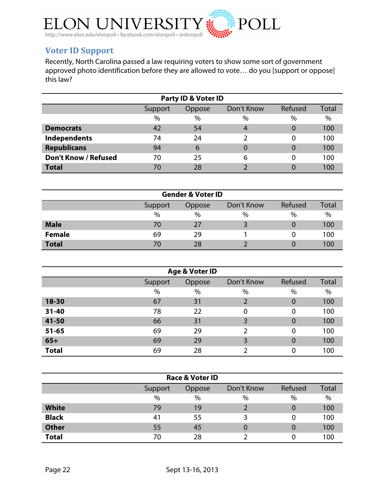

# **Voter ID Support**

Recently, North Carolina passed a law requiring voters to show some sort of government approved photo identification before they are allowed to vote… do you [support or oppose] this law?

| Party ID & Voter ID                                        |                      |      |      |      |      |  |  |
|------------------------------------------------------------|----------------------|------|------|------|------|--|--|
| Refused<br>Don't Know<br><b>Total</b><br>Support<br>Oppose |                      |      |      |      |      |  |  |
|                                                            | $\%$                 | $\%$ | $\%$ | $\%$ | $\%$ |  |  |
| <b>Democrats</b>                                           | 42                   | 54   | 4    | 0    | 100  |  |  |
| Independents                                               | 74                   | 24   |      |      | 100  |  |  |
| <b>Republicans</b>                                         | 94                   | 6    |      | 0    | 100  |  |  |
| <b>Don't Know / Refused</b>                                | 70<br>25<br>100<br>6 |      |      |      |      |  |  |
| <b>Total</b>                                               | 70                   | 28   | ำ    |      | 100  |  |  |

| <b>Gender &amp; Voter ID</b>                        |                                      |    |  |  |     |  |  |  |  |
|-----------------------------------------------------|--------------------------------------|----|--|--|-----|--|--|--|--|
| Refused<br>Don't Know<br>Total<br>Oppose<br>Support |                                      |    |  |  |     |  |  |  |  |
|                                                     | $\%$<br>$\%$<br>$\%$<br>$\%$<br>$\%$ |    |  |  |     |  |  |  |  |
| <b>Male</b>                                         | 70                                   | 27 |  |  | 100 |  |  |  |  |
| <b>Female</b>                                       | 69<br>29<br>100                      |    |  |  |     |  |  |  |  |
| <b>Total</b>                                        | 28<br>100<br>70                      |    |  |  |     |  |  |  |  |

| Age & Voter ID |                                            |      |      |      |      |  |  |  |  |
|----------------|--------------------------------------------|------|------|------|------|--|--|--|--|
|                | Refused<br>Don't Know<br>Oppose<br>Support |      |      |      |      |  |  |  |  |
|                | $\%$                                       | $\%$ | $\%$ | $\%$ | $\%$ |  |  |  |  |
| 18-30          | 67                                         | 31   | 2    | 0    | 100  |  |  |  |  |
| $31 - 40$      | 78                                         | 22   | 0    | 0    | 100  |  |  |  |  |
| 41-50          | 66                                         | 31   | 3    | 0    | 100  |  |  |  |  |
| $51 - 65$      | 69                                         | 29   | C    | 0    | 100  |  |  |  |  |
| $65+$          | 69                                         | 29   | 3    |      | 100  |  |  |  |  |
| <b>Total</b>   | 69                                         | 28   | າ    | 0    | 100  |  |  |  |  |

| <b>Race &amp; Voter ID</b> |         |        |            |         |              |  |
|----------------------------|---------|--------|------------|---------|--------------|--|
|                            | Support | Oppose | Don't Know | Refused | <b>Total</b> |  |
|                            | $\%$    | $\%$   | %          | $\%$    | %            |  |
| <b>White</b>               | 79      | 19     |            | 0       | 100          |  |
| <b>Black</b>               | 41      | 55     | 3          | 0       | 100          |  |
| <b>Other</b>               | 55      | 45     | 0          | 0       | 100          |  |
| <b>Total</b>               | 70      | 28     |            |         | 100          |  |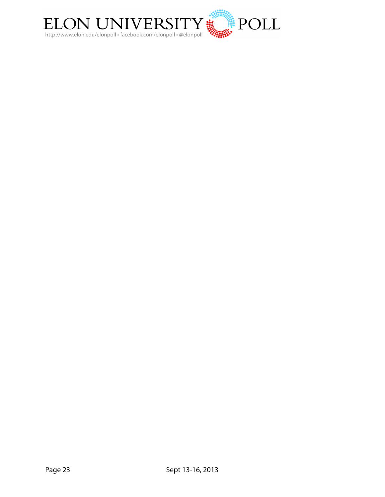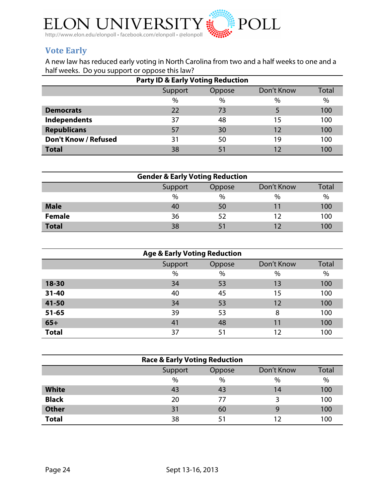

# **Vote Early**

A new law has reduced early voting in North Carolina from two and a half weeks to one and a half weeks. Do you support or oppose this law?

| <b>Party ID &amp; Early Voting Reduction</b> |                                          |      |      |      |  |  |  |  |
|----------------------------------------------|------------------------------------------|------|------|------|--|--|--|--|
|                                              | Don't Know<br>Total<br>Support<br>Oppose |      |      |      |  |  |  |  |
|                                              | $\%$                                     | $\%$ | $\%$ | $\%$ |  |  |  |  |
| <b>Democrats</b>                             | 22                                       | 73   |      | 100  |  |  |  |  |
| <b>Independents</b>                          | 37                                       | 48   | 15   | 100  |  |  |  |  |
| <b>Republicans</b>                           | 57                                       | 30   | 12   | 100  |  |  |  |  |
| <b>Don't Know / Refused</b>                  | 31                                       | 50   | 19   | 100  |  |  |  |  |
| <b>Total</b>                                 | 38                                       | 51   | 12   | 100  |  |  |  |  |

| <b>Gender &amp; Early Voting Reduction</b> |                                          |      |    |      |  |  |
|--------------------------------------------|------------------------------------------|------|----|------|--|--|
|                                            | Total<br>Don't Know<br>Support<br>Oppose |      |    |      |  |  |
|                                            | $\%$                                     | $\%$ | %  | $\%$ |  |  |
| <b>Male</b>                                | 40                                       | 50   | 11 | 100  |  |  |
| <b>Female</b>                              | 36                                       | 52   | 12 | 100  |  |  |
| <b>Total</b>                               | 38                                       | 51   |    | 100  |  |  |

| <b>Age &amp; Early Voting Reduction</b> |         |        |            |              |  |  |  |
|-----------------------------------------|---------|--------|------------|--------------|--|--|--|
|                                         | Support | Oppose | Don't Know | <b>Total</b> |  |  |  |
|                                         | $\%$    | %      | $\%$       | %            |  |  |  |
| 18-30                                   | 34      | 53     | 13         | 100          |  |  |  |
| $31 - 40$                               | 40      | 45     | 15         | 100          |  |  |  |
| 41-50                                   | 34      | 53     | 12         | 100          |  |  |  |
| $51 - 65$                               | 39      | 53     | 8          | 100          |  |  |  |
| $65+$                                   | 41      | 48     | 11         | 100          |  |  |  |
| <b>Total</b>                            | 37      | 51     | 12         | 100          |  |  |  |

| <b>Race &amp; Early Voting Reduction</b> |                                          |      |    |      |  |  |  |
|------------------------------------------|------------------------------------------|------|----|------|--|--|--|
|                                          | Total<br>Don't Know<br>Support<br>Oppose |      |    |      |  |  |  |
|                                          | $\%$                                     | $\%$ | %  | $\%$ |  |  |  |
| <b>White</b>                             | 43                                       | 43   | 14 | 100  |  |  |  |
| <b>Black</b>                             | 20                                       | 77   | 3  | 100  |  |  |  |
| <b>Other</b>                             | 31                                       | 60   | 9  | 100  |  |  |  |
| <b>Total</b>                             | 38                                       | 51   | 12 | 100  |  |  |  |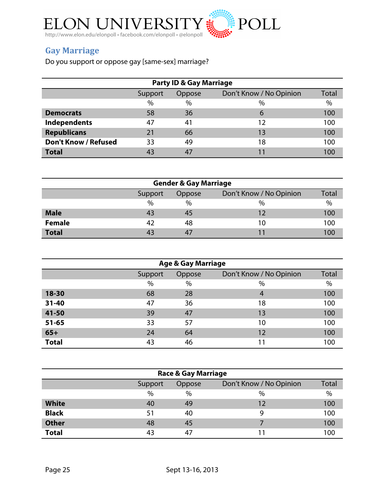

# **Gay(Marriage**

Do you support or oppose gay [same-sex] marriage?

| <b>Party ID &amp; Gay Marriage</b> |         |        |                         |              |  |  |
|------------------------------------|---------|--------|-------------------------|--------------|--|--|
|                                    | Support | Oppose | Don't Know / No Opinion | <b>Total</b> |  |  |
|                                    | %       | $\%$   | $\%$                    | $\%$         |  |  |
| <b>Democrats</b>                   | 58      | 36     | 6                       | 100          |  |  |
| Independents                       | 47      | 41     | 12                      | 100          |  |  |
| <b>Republicans</b>                 | 21      | 66     | 13                      | 100          |  |  |
| <b>Don't Know / Refused</b>        | 33      | 49     | 18                      | 100          |  |  |
| <b>Total</b>                       | 43      | 47     | 11                      | 100          |  |  |

| <b>Gender &amp; Gay Marriage</b> |                                              |      |      |      |  |
|----------------------------------|----------------------------------------------|------|------|------|--|
|                                  | Don't Know / No Opinion<br>Oppose<br>Support |      |      |      |  |
|                                  | $\%$                                         | $\%$ | $\%$ | $\%$ |  |
| <b>Male</b>                      | 43                                           | 45   | 12   | 100  |  |
| <b>Female</b>                    | 42                                           | 48   | 10   | 100  |  |
| <b>Total</b>                     |                                              | 47   |      | 100  |  |

| <b>Age &amp; Gay Marriage</b> |               |        |                         |              |  |  |
|-------------------------------|---------------|--------|-------------------------|--------------|--|--|
|                               | Support       | Oppose | Don't Know / No Opinion | <b>Total</b> |  |  |
|                               | $\frac{0}{0}$ | $\%$   | $\%$                    | $\%$         |  |  |
| 18-30                         | 68            | 28     | $\overline{4}$          | 100          |  |  |
| $31 - 40$                     | 47            | 36     | 18                      | 100          |  |  |
| 41-50                         | 39            | 47     | 13                      | 100          |  |  |
| $51 - 65$                     | 33            | 57     | 10                      | 100          |  |  |
| $65+$                         | 24            | 64     | 12                      | 100          |  |  |
| <b>Total</b>                  | 43            | 46     | 11                      | 100          |  |  |

| <b>Race &amp; Gay Marriage</b> |         |        |                         |       |  |  |
|--------------------------------|---------|--------|-------------------------|-------|--|--|
|                                | Support | Oppose | Don't Know / No Opinion | Total |  |  |
|                                | $\%$    | %      | $\%$                    | $\%$  |  |  |
| <b>White</b>                   | 40      | 49     | 12                      | 100   |  |  |
| <b>Black</b>                   | 51      | 40     | 9                       | 100   |  |  |
| <b>Other</b>                   | 48      | 45     |                         | 100   |  |  |
| <b>Total</b>                   | 43      | 47     | 11                      | 100   |  |  |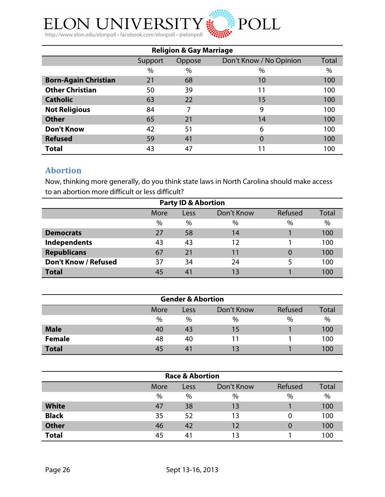

| <b>Religion &amp; Gay Marriage</b> |         |        |                         |              |  |  |
|------------------------------------|---------|--------|-------------------------|--------------|--|--|
|                                    | Support | Oppose | Don't Know / No Opinion | <b>Total</b> |  |  |
|                                    | %       | $\%$   | %                       | $\%$         |  |  |
| <b>Born-Again Christian</b>        | 21      | 68     | 10                      | 100          |  |  |
| <b>Other Christian</b>             | 50      | 39     | 11                      | 100          |  |  |
| <b>Catholic</b>                    | 63      | 22     | 15                      | 100          |  |  |
| <b>Not Religious</b>               | 84      | 7      | 9                       | 100          |  |  |
| <b>Other</b>                       | 65      | 21     | 14                      | 100          |  |  |
| <b>Don't Know</b>                  | 42      | 51     | 6                       | 100          |  |  |
| <b>Refused</b>                     | 59      | 41     | 0                       | 100          |  |  |
| <b>Total</b>                       | 43      | 47     | 11                      | 100          |  |  |

# **Abortion**

Now, thinking more generally, do you think state laws in North Carolina should make access to an abortion more difficult or less difficult?

| <b>Party ID &amp; Abortion</b> |      |      |            |         |              |  |
|--------------------------------|------|------|------------|---------|--------------|--|
|                                | More | Less | Don't Know | Refused | <b>Total</b> |  |
|                                | %    | $\%$ | $\%$       | $\%$    | %            |  |
| <b>Democrats</b>               | 27   | 58   | 14         |         | 100          |  |
| Independents                   | 43   | 43   | 12         |         | 100          |  |
| <b>Republicans</b>             | 67   | 21   | 11         |         | 100          |  |
| <b>Don't Know / Refused</b>    | 37   | 34   | 24         | 5       | 100          |  |
| <b>Total</b>                   | 45   | 41   | 13         |         | 100          |  |

| <b>Gender &amp; Abortion</b> |      |      |            |         |              |  |
|------------------------------|------|------|------------|---------|--------------|--|
|                              | More | Less | Don't Know | Refused | <b>Total</b> |  |
|                              | $\%$ | $\%$ | $\%$       | $\%$    | $\%$         |  |
| <b>Male</b>                  | 40   | 43   | 15         |         | 100          |  |
| <b>Female</b>                | 48   | 40   |            |         | 100          |  |
| <b>Total</b>                 | 45   | 41   | 13         |         | 100          |  |

| <b>Race &amp; Abortion</b> |      |      |            |         |              |  |
|----------------------------|------|------|------------|---------|--------------|--|
|                            | More | Less | Don't Know | Refused | <b>Total</b> |  |
|                            | %    | %    | $\%$       | $\%$    | %            |  |
| <b>White</b>               | 47   | 38   | 13         |         | 100          |  |
| <b>Black</b>               | 35   | 52   | 13         | 0       | 100          |  |
| <b>Other</b>               | 46   | 42   | 12         | 0       | 100          |  |
| <b>Total</b>               | 45   | 41   | 13         |         | 100          |  |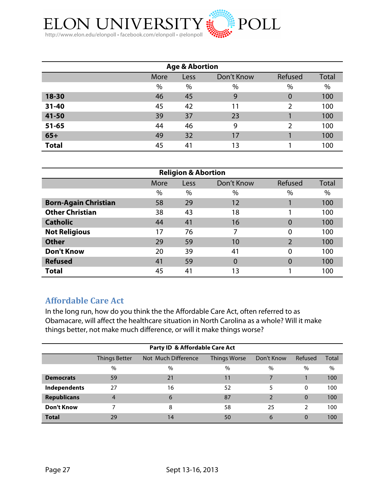

| <b>Age &amp; Abortion</b> |      |      |            |                |              |  |
|---------------------------|------|------|------------|----------------|--------------|--|
|                           | More | Less | Don't Know | Refused        | <b>Total</b> |  |
|                           | %    | %    | %          | %              | %            |  |
| 18-30                     | 46   | 45   | 9          | $\overline{0}$ | 100          |  |
| $31 - 40$                 | 45   | 42   | 11         | C              | 100          |  |
| 41-50                     | 39   | 37   | 23         |                | 100          |  |
| $51 - 65$                 | 44   | 46   | 9          | 2              | 100          |  |
| $65+$                     | 49   | 32   | 17         |                | 100          |  |
| <b>Total</b>              | 45   | 41   | 13         |                | 100          |  |

| <b>Religion &amp; Abortion</b> |      |      |            |         |              |  |  |
|--------------------------------|------|------|------------|---------|--------------|--|--|
|                                | More | Less | Don't Know | Refused | <b>Total</b> |  |  |
|                                | $\%$ | $\%$ | $\%$       | %       | $\%$         |  |  |
| <b>Born-Again Christian</b>    | 58   | 29   | 12         |         | 100          |  |  |
| <b>Other Christian</b>         | 38   | 43   | 18         |         | 100          |  |  |
| <b>Catholic</b>                | 44   | 41   | 16         | 0       | 100          |  |  |
| <b>Not Religious</b>           | 17   | 76   | 7          | 0       | 100          |  |  |
| <b>Other</b>                   | 29   | 59   | 10         | 2       | 100          |  |  |
| <b>Don't Know</b>              | 20   | 39   | 41         | 0       | 100          |  |  |
| <b>Refused</b>                 | 41   | 59   | $\Omega$   | 0       | 100          |  |  |
| <b>Total</b>                   | 45   | 41   | 13         |         | 100          |  |  |

# **Affordable Care Act**

In the long run, how do you think the the Affordable Care Act, often referred to as Obamacare, will affect the healthcare situation in North Carolina as a whole? Will it make things better, not make much difference, or will it make things worse?

| Party ID & Affordable Care Act |                      |                     |                     |               |                |       |  |
|--------------------------------|----------------------|---------------------|---------------------|---------------|----------------|-------|--|
|                                | <b>Things Better</b> | Not Much Difference | <b>Things Worse</b> | Don't Know    | Refused        | Total |  |
|                                | $\frac{0}{0}$        | $\%$                | $\%$                | $\%$          | $\%$           | $\%$  |  |
| <b>Democrats</b>               | 59                   | 21                  | 11                  | 7             |                | 100   |  |
| Independents                   | 27                   | 16                  | 52                  | 5             | $\Omega$       | 100   |  |
| <b>Republicans</b>             | 4                    | 6                   | 87                  | $\mathcal{P}$ | $\Omega$       | 100   |  |
| <b>Don't Know</b>              |                      | 8                   | 58                  | 25            | $\mathfrak{D}$ | 100   |  |
| <b>Total</b>                   | 29                   | 14                  | 50                  | 6             | $\Omega$       | 100   |  |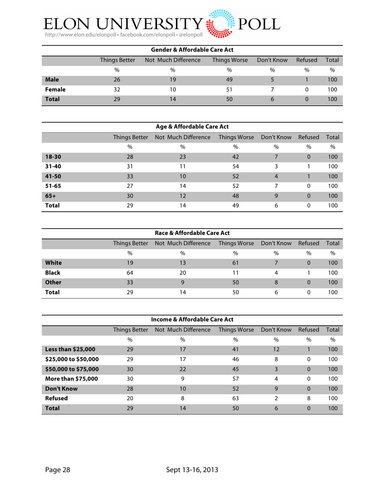

| <b>Gender &amp; Affordable Care Act</b> |                      |                     |                     |            |          |       |  |
|-----------------------------------------|----------------------|---------------------|---------------------|------------|----------|-------|--|
|                                         | <b>Things Better</b> | Not Much Difference | <b>Things Worse</b> | Don't Know | Refused  | Total |  |
|                                         | $\%$                 | $\%$                | $\%$                | $\%$       | $\%$     | $\%$  |  |
| <b>Male</b>                             | 26                   | 19                  | 49                  |            |          | 100   |  |
| <b>Female</b>                           | 32                   | 10                  | 51                  |            | $\Omega$ | 100   |  |
| <b>Total</b>                            | 29                   | 14                  | 50                  |            | 0        | 100   |  |

| Age & Affordable Care Act |                      |                     |                     |                |             |       |  |
|---------------------------|----------------------|---------------------|---------------------|----------------|-------------|-------|--|
|                           | <b>Things Better</b> | Not Much Difference | <b>Things Worse</b> | Don't Know     | Refused     | Total |  |
|                           | $\%$                 | $\%$                | $\%$                | $\%$           | $\%$        | %     |  |
| $18 - 30$                 | 28                   | 23                  | 42                  | 7              | $\mathbf 0$ | 100   |  |
| $31 - 40$                 | 31                   | 11                  | 54                  | 3              |             | 100   |  |
| 41-50                     | 33                   | 10                  | 52                  | $\overline{4}$ |             | 100   |  |
| $51 - 65$                 | 27                   | 14                  | 52                  | 7              | 0           | 100   |  |
| $65+$                     | 30                   | 12                  | 48                  | 9              | 0           | 100   |  |
| <b>Total</b>              | 29                   | 14                  | 49                  | 6              | 0           | 100   |  |

| Race & Affordable Care Act |               |                     |              |               |          |       |
|----------------------------|---------------|---------------------|--------------|---------------|----------|-------|
|                            | Things Better | Not Much Difference | Things Worse | Don't Know    | Refused  | Total |
|                            | $\%$          | $\%$                | $\%$         | $\frac{0}{0}$ | $\%$     | $\%$  |
| <b>White</b>               | 19            | 13                  | 61           |               | 0        | 100   |
| <b>Black</b>               | 64            | 20                  |              | 4             |          | 100   |
| <b>Other</b>               | 33            | q                   | 50           | 8             | $\Omega$ | 100   |
| <b>Total</b>               | 29            | 14                  | 50           | 6             | 0        | 100   |

| Income & Affordable Care Act |                      |                     |                     |            |              |       |  |
|------------------------------|----------------------|---------------------|---------------------|------------|--------------|-------|--|
|                              | <b>Things Better</b> | Not Much Difference | <b>Things Worse</b> | Don't Know | Refused      | Total |  |
|                              | $\frac{0}{0}$        | $\%$                | $\%$                | $\%$       | $\%$         | $\%$  |  |
| <b>Less than \$25,000</b>    | 29                   | 17                  | 41                  | 12         | 1            | 100   |  |
| \$25,000 to \$50,000         | 29                   | 17                  | 46                  | 8          | 0            | 100   |  |
| \$50,000 to \$75,000         | 30                   | 22                  | 45                  | 3          | $\mathbf 0$  | 100   |  |
| More than \$75,000           | 30                   | 9                   | 57                  | 4          | 0            | 100   |  |
| <b>Don't Know</b>            | 28                   | 10                  | 52                  | 9          | $\mathbf{0}$ | 100   |  |
| <b>Refused</b>               | 20                   | 8                   | 63                  | 2          | 8            | 100   |  |
| <b>Total</b>                 | 29                   | 14                  | 50                  | 6          | $\mathbf{0}$ | 100   |  |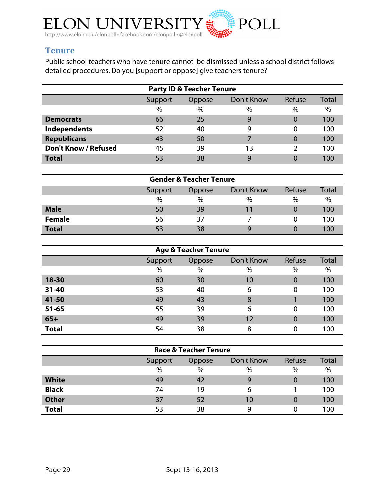

## **Tenure**

Public school teachers who have tenure cannot be dismissed unless a school district follows detailed procedures. Do you [support or oppose] give teachers tenure?

| <b>Party ID &amp; Teacher Tenure</b> |         |        |            |        |       |  |
|--------------------------------------|---------|--------|------------|--------|-------|--|
|                                      | Support | Oppose | Don't Know | Refuse | Total |  |
|                                      | $\%$    | $\%$   | $\%$       | $\%$   | $\%$  |  |
| <b>Democrats</b>                     | 66      | 25     | g          |        | 100   |  |
| Independents                         | 52      | 40     | q          | 0      | 100   |  |
| <b>Republicans</b>                   | 43      | 50     |            |        | 100   |  |
| <b>Don't Know / Refused</b>          | 45      | 39     | 13         |        | 100   |  |
| <b>Total</b>                         | 53      | 38     |            |        | 100   |  |

| <b>Gender &amp; Teacher Tenure</b> |         |        |            |        |       |  |
|------------------------------------|---------|--------|------------|--------|-------|--|
|                                    | Support | Oppose | Don't Know | Refuse | Total |  |
|                                    | $\%$    | %      | %          | $\%$   | $\%$  |  |
| <b>Male</b>                        | 50      | 39     | 11         |        | 100   |  |
| <b>Female</b>                      | 56      | 37     |            |        | 100   |  |
| <b>Total</b>                       | 53      | 38     |            |        | 100   |  |

| <b>Age &amp; Teacher Tenure</b> |         |        |            |                |              |  |
|---------------------------------|---------|--------|------------|----------------|--------------|--|
|                                 | Support | Oppose | Don't Know | Refuse         | <b>Total</b> |  |
|                                 | $\%$    | %      | %          | $\%$           | $\%$         |  |
| 18-30                           | 60      | 30     | 10         | $\overline{0}$ | 100          |  |
| $31 - 40$                       | 53      | 40     | 6          | 0              | 100          |  |
| 41-50                           | 49      | 43     | 8          |                | 100          |  |
| $51 - 65$                       | 55      | 39     | 6          | 0              | 100          |  |
| $65+$                           | 49      | 39     | 12         | 0              | 100          |  |
| <b>Total</b>                    | 54      | 38     | 8          | 0              | 100          |  |

| <b>Race &amp; Teacher Tenure</b> |         |        |            |        |       |  |
|----------------------------------|---------|--------|------------|--------|-------|--|
|                                  | Support | Oppose | Don't Know | Refuse | Total |  |
|                                  | $\%$    | $\%$   | $\%$       | $\%$   | $\%$  |  |
| <b>White</b>                     | 49      | 42     | q          | 0      | 100   |  |
| <b>Black</b>                     | 74      | 19     | 6          |        | 100   |  |
| <b>Other</b>                     | 37      | 52     | 10         | 0      | 100   |  |
| <b>Total</b>                     | 53      | 38     | q          |        | 100   |  |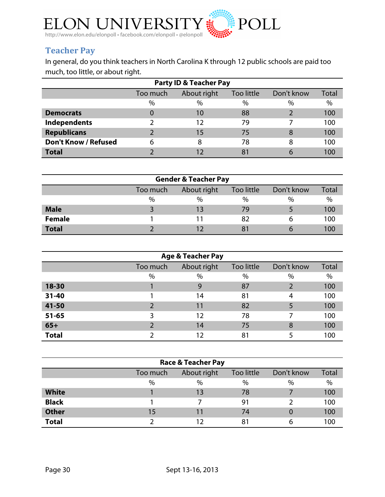

# **Teacher Pay**

In general, do you think teachers in North Carolina K through 12 public schools are paid too much, too little, or about right.

| <b>Party ID &amp; Teacher Pay</b> |          |             |                   |               |              |  |
|-----------------------------------|----------|-------------|-------------------|---------------|--------------|--|
|                                   | Too much | About right | <b>Too little</b> | Don't know    | <b>Total</b> |  |
|                                   | $\%$     | $\%$        | $\%$              | $\frac{0}{0}$ | $\%$         |  |
| <b>Democrats</b>                  |          | 10          | 88                |               | 100          |  |
| <b>Independents</b>               |          | 12          | 79                |               | 100          |  |
| <b>Republicans</b>                |          | 15          | 75                | 8             | 100          |  |
| <b>Don't Know / Refused</b>       | 6        | 8           | 78                | 8             | 100          |  |
| <b>Total</b>                      |          |             | 81                | 6             | 100          |  |

| <b>Gender &amp; Teacher Pay</b> |          |             |            |               |              |  |
|---------------------------------|----------|-------------|------------|---------------|--------------|--|
|                                 | Too much | About right | Too little | Don't know    | <b>Total</b> |  |
|                                 | $\%$     | %           | $\%$       | $\frac{0}{0}$ | %            |  |
| <b>Male</b>                     |          |             | 79         |               | 100          |  |
| <b>Female</b>                   |          |             | 82         | h             | 100          |  |
| <b>Total</b>                    |          |             | 81         |               | 100          |  |

| <b>Age &amp; Teacher Pay</b> |                                                            |    |      |      |     |  |  |  |  |
|------------------------------|------------------------------------------------------------|----|------|------|-----|--|--|--|--|
|                              | <b>Too little</b><br>Don't know<br>About right<br>Too much |    |      |      |     |  |  |  |  |
|                              | %                                                          | %  | $\%$ | $\%$ | %   |  |  |  |  |
| 18-30                        |                                                            | 9  | 87   |      | 100 |  |  |  |  |
| 31-40                        |                                                            | 14 | 81   | 4    | 100 |  |  |  |  |
| 41-50                        |                                                            | 11 | 82   | 5    | 100 |  |  |  |  |
| $51 - 65$                    |                                                            | 12 | 78   |      | 100 |  |  |  |  |
| $65+$                        |                                                            | 14 | 75   | 8    | 100 |  |  |  |  |
| <b>Total</b>                 |                                                            | 12 | 81   |      | 100 |  |  |  |  |

| <b>Race &amp; Teacher Pay</b> |                                                     |      |      |      |     |  |  |  |
|-------------------------------|-----------------------------------------------------|------|------|------|-----|--|--|--|
|                               | Too little<br>About right<br>Don't know<br>Too much |      |      |      |     |  |  |  |
|                               | %                                                   | $\%$ | $\%$ | $\%$ | %   |  |  |  |
| <b>White</b>                  |                                                     | 13   | 78   |      | 100 |  |  |  |
| <b>Black</b>                  |                                                     |      | 91   |      | 100 |  |  |  |
| <b>Other</b>                  | 15                                                  | 11   | 74   | O    | 100 |  |  |  |
| <b>Total</b>                  |                                                     | 12   | 81   | რ    | 100 |  |  |  |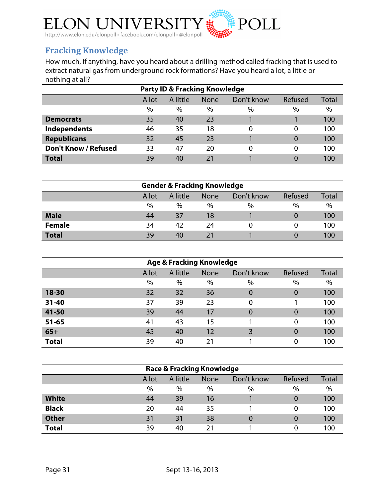

# **Fracking Knowledge**

How much, if anything, have you heard about a drilling method called fracking that is used to extract natural gas from underground rock formations? Have you heard a lot, a little or nothing at all?

|                             | <b>Party ID &amp; Fracking Knowledge</b> |          |             |            |         |              |  |  |  |
|-----------------------------|------------------------------------------|----------|-------------|------------|---------|--------------|--|--|--|
|                             | A lot                                    | A little | <b>None</b> | Don't know | Refused | <b>Total</b> |  |  |  |
|                             | $\%$                                     | %        | $\%$        | $\%$       | $\%$    | $\%$         |  |  |  |
| <b>Democrats</b>            | 35                                       | 40       | 23          |            |         | 100          |  |  |  |
| <b>Independents</b>         | 46                                       | 35       | 18          | 0          |         | 100          |  |  |  |
| <b>Republicans</b>          | 32                                       | 45       | 23          |            |         | 100          |  |  |  |
| <b>Don't Know / Refused</b> | 33                                       | 47       | 20          | $\Omega$   |         | 100          |  |  |  |
| <b>Total</b>                | 39                                       | 40       | 21          |            |         | 100          |  |  |  |

| <b>Gender &amp; Fracking Knowledge</b> |       |          |             |            |         |       |  |
|----------------------------------------|-------|----------|-------------|------------|---------|-------|--|
|                                        | A lot | A little | <b>None</b> | Don't know | Refused | Total |  |
|                                        | $\%$  | %        | $\%$        | $\%$       | $\%$    | $\%$  |  |
| <b>Male</b>                            | 44    | 37       | 18          |            |         | 100   |  |
| <b>Female</b>                          | 34    | 42       | 24          |            |         | 100   |  |
| <b>Total</b>                           | 39    | 40       |             |            |         | 100   |  |

| <b>Age &amp; Fracking Knowledge</b> |       |          |             |            |                |              |  |  |  |
|-------------------------------------|-------|----------|-------------|------------|----------------|--------------|--|--|--|
|                                     | A lot | A little | <b>None</b> | Don't know | Refused        | <b>Total</b> |  |  |  |
|                                     | %     | %        | %           | $\%$       | $\%$           | $\%$         |  |  |  |
| 18-30                               | 32    | 32       | 36          | 0          | $\overline{0}$ | 100          |  |  |  |
| $31 - 40$                           | 37    | 39       | 23          | $\Omega$   |                | 100          |  |  |  |
| 41-50                               | 39    | 44       | 17          | 0          | $\Omega$       | 100          |  |  |  |
| $51 - 65$                           | 41    | 43       | 15          |            | $\Omega$       | 100          |  |  |  |
| $65+$                               | 45    | 40       | 12          | 3          | $\Omega$       | 100          |  |  |  |
| <b>Total</b>                        | 39    | 40       | 21          |            | $\Omega$       | 100          |  |  |  |

| <b>Race &amp; Fracking Knowledge</b> |                                                           |    |      |      |          |     |  |  |
|--------------------------------------|-----------------------------------------------------------|----|------|------|----------|-----|--|--|
|                                      | Refused<br>Don't know<br>A little<br><b>None</b><br>A lot |    |      |      |          |     |  |  |
|                                      | $\%$                                                      | %  | $\%$ | $\%$ | $\%$     | %   |  |  |
| <b>White</b>                         | 44                                                        | 39 | 16   |      | $\Omega$ | 100 |  |  |
| <b>Black</b>                         | 20                                                        | 44 | 35   |      |          | 100 |  |  |
| <b>Other</b>                         | 31                                                        | 31 | 38   | 0    | $\Omega$ | 100 |  |  |
| <b>Total</b>                         | 39                                                        | 40 | 21   |      |          | 100 |  |  |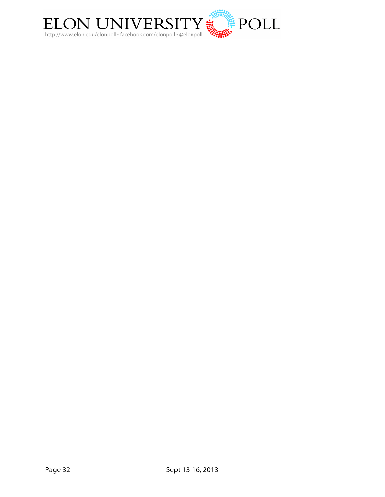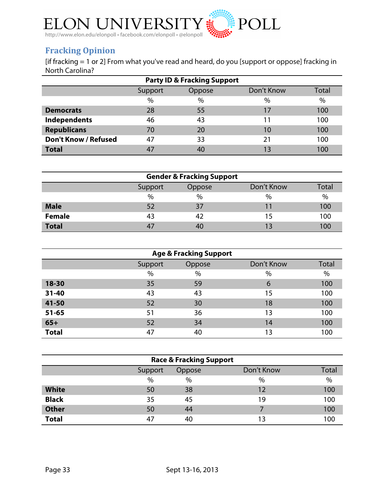

# **Fracking Opinion**

[if fracking = 1 or 2] From what you've read and heard, do you [support or oppose] fracking in North Carolina?

| <b>Party ID &amp; Fracking Support</b> |      |      |      |      |  |  |  |  |  |
|----------------------------------------|------|------|------|------|--|--|--|--|--|
| Don't Know<br>Support<br>Oppose        |      |      |      |      |  |  |  |  |  |
|                                        | $\%$ | $\%$ | $\%$ | $\%$ |  |  |  |  |  |
| <b>Democrats</b>                       | 28   | 55   | 17   | 100  |  |  |  |  |  |
| Independents                           | 46   | 43   | 11   | 100  |  |  |  |  |  |
| <b>Republicans</b>                     | 70   | 20   | 10   | 100  |  |  |  |  |  |
| <b>Don't Know / Refused</b>            | 47   | 33   | 21   | 100  |  |  |  |  |  |
| <b>Total</b>                           | 47   | 40   | 13   | 100  |  |  |  |  |  |

| <b>Gender &amp; Fracking Support</b>     |      |      |      |      |  |  |  |  |
|------------------------------------------|------|------|------|------|--|--|--|--|
| Total<br>Don't Know<br>Support<br>Oppose |      |      |      |      |  |  |  |  |
|                                          | $\%$ | $\%$ | $\%$ | $\%$ |  |  |  |  |
| <b>Male</b>                              | 52   | 37   | 11   | 100  |  |  |  |  |
| <b>Female</b>                            | 43   | 42   | 15   | 100  |  |  |  |  |
| <b>Total</b>                             | 47   | 40   | 13   | 100  |  |  |  |  |

| <b>Age &amp; Fracking Support</b> |         |        |            |       |  |  |  |  |  |
|-----------------------------------|---------|--------|------------|-------|--|--|--|--|--|
|                                   | Support | Oppose | Don't Know | Total |  |  |  |  |  |
|                                   | %       | %      | $\%$       | $\%$  |  |  |  |  |  |
| 18-30                             | 35      | 59     | 6          | 100   |  |  |  |  |  |
| $31 - 40$                         | 43      | 43     | 15         | 100   |  |  |  |  |  |
| 41-50                             | 52      | 30     | 18         | 100   |  |  |  |  |  |
| $51 - 65$                         | 51      | 36     | 13         | 100   |  |  |  |  |  |
| $65+$                             | 52      | 34     | 14         | 100   |  |  |  |  |  |
| <b>Total</b>                      | 47      | 40     | 13         | 100   |  |  |  |  |  |

| <b>Race &amp; Fracking Support</b> |         |        |            |       |  |  |  |  |  |
|------------------------------------|---------|--------|------------|-------|--|--|--|--|--|
|                                    | Support | Oppose | Don't Know | Total |  |  |  |  |  |
|                                    | $\%$    | %      | $\%$       | $\%$  |  |  |  |  |  |
| <b>White</b>                       | 50      | 38     | 12         | 100   |  |  |  |  |  |
| <b>Black</b>                       | 35      | 45     | 19         | 100   |  |  |  |  |  |
| <b>Other</b>                       | 50      | 44     |            | 100   |  |  |  |  |  |
| <b>Total</b>                       | 47      | 40     | 13         | 100   |  |  |  |  |  |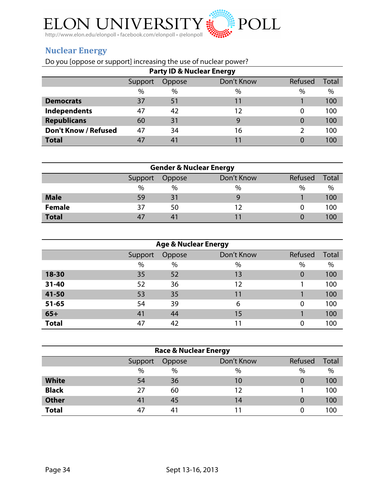

# **Nuclear Energy**

Do you [oppose or support] increasing the use of nuclear power?

| <b>Party ID &amp; Nuclear Energy</b> |         |        |            |         |       |  |  |  |  |
|--------------------------------------|---------|--------|------------|---------|-------|--|--|--|--|
|                                      | Support | Oppose | Don't Know | Refused | Total |  |  |  |  |
|                                      | $\%$    | $\%$   | $\%$       | $\%$    | $\%$  |  |  |  |  |
| <b>Democrats</b>                     | 37      | 51     | 11         |         | 100   |  |  |  |  |
| <b>Independents</b>                  | 47      | 42     | 12         |         | 100   |  |  |  |  |
| <b>Republicans</b>                   | 60      | 31     | 9          |         | 100   |  |  |  |  |
| <b>Don't Know / Refused</b>          | 47      | 34     | 16         |         | 100   |  |  |  |  |
| <b>Total</b>                         | 47      | 41     | 11         |         | 100   |  |  |  |  |

| <b>Gender &amp; Nuclear Energy</b> |         |        |            |         |       |  |  |  |  |
|------------------------------------|---------|--------|------------|---------|-------|--|--|--|--|
|                                    | Support | Oppose | Don't Know | Refused | Total |  |  |  |  |
|                                    | $\%$    | $\%$   | $\%$       | $\%$    | %     |  |  |  |  |
| <b>Male</b>                        | 59      | 31     | 9          |         | 100   |  |  |  |  |
| <b>Female</b>                      | 37      | 50     | 12         |         | 100   |  |  |  |  |
| <b>Total</b>                       | 47      | 41     |            |         | 100   |  |  |  |  |

| <b>Age &amp; Nuclear Energy</b> |         |        |            |                |       |  |  |  |
|---------------------------------|---------|--------|------------|----------------|-------|--|--|--|
|                                 | Support | Oppose | Don't Know | Refused        | Total |  |  |  |
|                                 | $\%$    | $\%$   | %          | %              | $\%$  |  |  |  |
| 18-30                           | 35      | 52     | 13         | $\overline{0}$ | 100   |  |  |  |
| $31 - 40$                       | 52      | 36     | 12         |                | 100   |  |  |  |
| 41-50                           | 53      | 35     | 11         |                | 100   |  |  |  |
| $51 - 65$                       | 54      | 39     | 6          | 0              | 100   |  |  |  |
| $65+$                           | 41      | 44     | 15         |                | 100   |  |  |  |
| <b>Total</b>                    | 47      | 42     | 11         | 0              | 100   |  |  |  |

| <b>Race &amp; Nuclear Energy</b> |         |        |            |         |       |  |  |  |
|----------------------------------|---------|--------|------------|---------|-------|--|--|--|
|                                  | Support | Oppose | Don't Know | Refused | Total |  |  |  |
|                                  | $\%$    | $\%$   | $\%$       | %       | $\%$  |  |  |  |
| <b>White</b>                     | 54      | 36     | 10         | 0       | 100   |  |  |  |
| <b>Black</b>                     | 27      | 60     | 12         |         | 100   |  |  |  |
| <b>Other</b>                     | 41      | 45     | 14         | 0       | 100   |  |  |  |
| <b>Total</b>                     | 47      | 41     | 11         |         | 100   |  |  |  |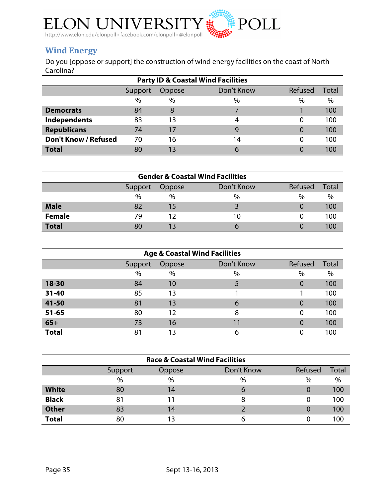

# **Wind Energy**

Do you [oppose or support] the construction of wind energy facilities on the coast of North Carolina?

| <b>Party ID &amp; Coastal Wind Facilities</b> |         |        |            |         |       |  |  |  |
|-----------------------------------------------|---------|--------|------------|---------|-------|--|--|--|
|                                               | Support | Oppose | Don't Know | Refused | Total |  |  |  |
|                                               | $\%$    | %      | %          | $\%$    | $\%$  |  |  |  |
| <b>Democrats</b>                              | 84      | 8      |            |         | 100   |  |  |  |
| Independents                                  | 83      | 13     | 4          | O       | 100   |  |  |  |
| <b>Republicans</b>                            | 74      | 17     | 9          | 0       | 100   |  |  |  |
| <b>Don't Know / Refused</b>                   | 70      | 16     | 14         | O       | 100   |  |  |  |
| <b>Total</b>                                  | 80      | 13     | 6          |         | 100   |  |  |  |

| <b>Gender &amp; Coastal Wind Facilities</b> |         |        |            |         |       |  |  |  |
|---------------------------------------------|---------|--------|------------|---------|-------|--|--|--|
|                                             | Support | Oppose | Don't Know | Refused | Total |  |  |  |
|                                             | $\%$    | %      | %          | $\%$    | $\%$  |  |  |  |
| <b>Male</b>                                 | 82      | 15     |            |         | 100   |  |  |  |
| <b>Female</b>                               | 79      |        | 10         |         | 100   |  |  |  |
| <b>Total</b>                                | 80      |        |            |         | 100   |  |  |  |

| <b>Age &amp; Coastal Wind Facilities</b> |         |        |            |         |       |  |  |  |
|------------------------------------------|---------|--------|------------|---------|-------|--|--|--|
|                                          | Support | Oppose | Don't Know | Refused | Total |  |  |  |
|                                          | $\%$    | %      | $\%$       | $\%$    | %     |  |  |  |
| 18-30                                    | 84      | 10     |            | 0       | 100   |  |  |  |
| $31 - 40$                                | 85      | 13     |            |         | 100   |  |  |  |
| 41-50                                    | 81      | 13     | 6          | 0       | 100   |  |  |  |
| $51 - 65$                                | 80      | 12     | 8          | 0       | 100   |  |  |  |
| $65+$                                    | 73      | 16     | 11         | 0       | 100   |  |  |  |
| <b>Total</b>                             | 81      | 13     | 6          |         | 100   |  |  |  |

| <b>Race &amp; Coastal Wind Facilities</b> |         |        |            |         |       |  |  |
|-------------------------------------------|---------|--------|------------|---------|-------|--|--|
|                                           | Support | Oppose | Don't Know | Refused | Total |  |  |
|                                           | $\%$    | %      | $\%$       | $\%$    | %     |  |  |
| <b>White</b>                              | 80      | 14     | 6          | 0       | 100   |  |  |
| <b>Black</b>                              | 81      |        | 8          | 0       | 100   |  |  |
| <b>Other</b>                              | 83      | 14     |            | 0       | 100   |  |  |
| <b>Total</b>                              | 80      | 13     | რ          |         | 100   |  |  |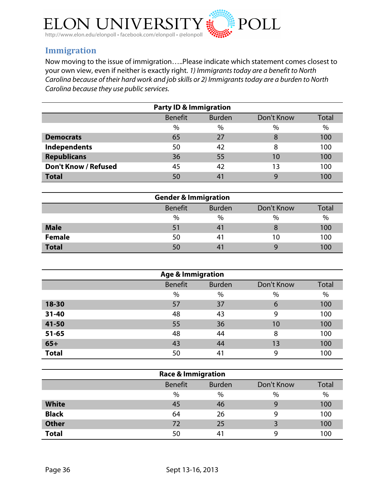

## **Immigration**

Now moving to the issue of immigration…..Please indicate which statement comes closest to your own view, even if neither is exactly right. *1) Immigrants today are a benefit to North Carolina because of their hard work and job skills or 2) Immigrants today are a burden to North Carolina because they use public services.* 

| <b>Party ID &amp; Immigration</b> |                |               |            |              |  |  |  |
|-----------------------------------|----------------|---------------|------------|--------------|--|--|--|
|                                   | <b>Benefit</b> | <b>Burden</b> | Don't Know | <b>Total</b> |  |  |  |
|                                   | $\%$           | $\%$          | $\%$       | $\%$         |  |  |  |
| <b>Democrats</b>                  | 65             | 27            | 8          | 100          |  |  |  |
| Independents                      | 50             | 42            | 8          | 100          |  |  |  |
| <b>Republicans</b>                | 36             | 55            | 10         | 100          |  |  |  |
| <b>Don't Know / Refused</b>       | 45             | 42            | 13         | 100          |  |  |  |
| <b>Total</b>                      | 50             | 41            | 9          | 100          |  |  |  |

| <b>Gender &amp; Immigration</b> |                |               |            |              |  |  |  |
|---------------------------------|----------------|---------------|------------|--------------|--|--|--|
|                                 | <b>Benefit</b> | <b>Burden</b> | Don't Know | <b>Total</b> |  |  |  |
|                                 | %              | %             | $\%$       | $\%$         |  |  |  |
| <b>Male</b>                     | 51             | 41            | 8          | 100          |  |  |  |
| <b>Female</b>                   | 50             | 41            | 10         | 100          |  |  |  |
| <b>Total</b>                    | 50             | 41            | 9          | 100          |  |  |  |

| <b>Age &amp; Immigration</b> |                |               |            |              |  |  |  |
|------------------------------|----------------|---------------|------------|--------------|--|--|--|
|                              | <b>Benefit</b> | <b>Burden</b> | Don't Know | <b>Total</b> |  |  |  |
|                              | %              | %             | %          | $\%$         |  |  |  |
| 18-30                        | 57             | 37            | 6          | 100          |  |  |  |
| $31 - 40$                    | 48             | 43            | 9          | 100          |  |  |  |
| 41-50                        | 55             | 36            | 10         | 100          |  |  |  |
| $51 - 65$                    | 48             | 44            | 8          | 100          |  |  |  |
| $65+$                        | 43             | 44            | 13         | 100          |  |  |  |
| <b>Total</b>                 | 50             | 41            | 9          | 100          |  |  |  |

| <b>Race &amp; Immigration</b> |                |               |            |       |  |  |  |
|-------------------------------|----------------|---------------|------------|-------|--|--|--|
|                               | <b>Benefit</b> | <b>Burden</b> | Don't Know | Total |  |  |  |
|                               | $\%$           | %             | $\%$       | $\%$  |  |  |  |
| <b>White</b>                  | 45             | 46            | 9          | 100   |  |  |  |
| <b>Black</b>                  | 64             | 26            | 9          | 100   |  |  |  |
| <b>Other</b>                  | 72             | 25            | 3          | 100   |  |  |  |
| <b>Total</b>                  | 50             | 41            | 9          | 100   |  |  |  |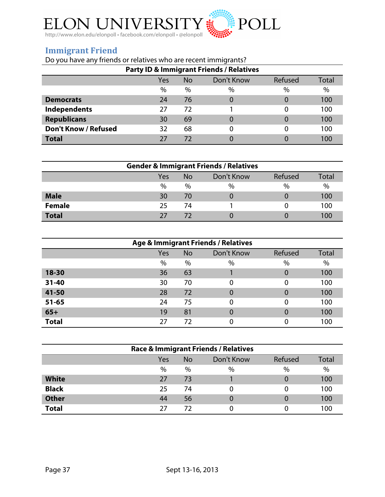

## **Immigrant Friend**

Do you have any friends or relatives who are recent immigrants?

| <b>Party ID &amp; Immigrant Friends / Relatives</b> |     |           |            |         |       |  |  |
|-----------------------------------------------------|-----|-----------|------------|---------|-------|--|--|
|                                                     | Yes | <b>No</b> | Don't Know | Refused | Total |  |  |
|                                                     | %   | $\%$      | $\%$       | $\%$    | %     |  |  |
| <b>Democrats</b>                                    | 24  | 76        | 0          | 0       | 100   |  |  |
| Independents                                        | 27  | 72        |            |         | 100   |  |  |
| <b>Republicans</b>                                  | 30  | 69        | 0          | 0       | 100   |  |  |
| <b>Don't Know / Refused</b>                         | 32  | 68        |            |         | 100   |  |  |
| <b>Total</b>                                        | 27  | 72        |            |         | 100   |  |  |

| <b>Gender &amp; Immigrant Friends / Relatives</b> |     |      |            |         |       |  |  |
|---------------------------------------------------|-----|------|------------|---------|-------|--|--|
|                                                   | Yes | No   | Don't Know | Refused | Total |  |  |
|                                                   | %   | $\%$ | $\%$       | $\%$    | $\%$  |  |  |
| <b>Male</b>                                       | 30  | 70   |            |         | 100   |  |  |
| <b>Female</b>                                     | 25  | 74   |            |         | 100   |  |  |
| <b>Total</b>                                      | 27  | 72   |            |         | 100   |  |  |

| Age & Immigrant Friends / Relatives |      |           |            |         |              |  |  |  |  |  |
|-------------------------------------|------|-----------|------------|---------|--------------|--|--|--|--|--|
|                                     | Yes  | <b>No</b> | Don't Know | Refused | <b>Total</b> |  |  |  |  |  |
|                                     | $\%$ | %         | $\%$       | $\%$    | %            |  |  |  |  |  |
| 18-30                               | 36   | 63        |            | 0       | 100          |  |  |  |  |  |
| $31 - 40$                           | 30   | 70        | 0          | 0       | 100          |  |  |  |  |  |
| 41-50                               | 28   | 72        | $\Omega$   | 0       | 100          |  |  |  |  |  |
| $51 - 65$                           | 24   | 75        | $\Omega$   | 0       | 100          |  |  |  |  |  |
| $65+$                               | 19   | 81        | 0          | 0       | 100          |  |  |  |  |  |
| <b>Total</b>                        | 27   | 72        |            | 0       | 100          |  |  |  |  |  |

| Race & Immigrant Friends / Relatives |     |           |            |         |       |  |  |  |  |  |
|--------------------------------------|-----|-----------|------------|---------|-------|--|--|--|--|--|
|                                      | Yes | <b>No</b> | Don't Know | Refused | Total |  |  |  |  |  |
|                                      | %   | $\%$      | $\%$       | $\%$    | $\%$  |  |  |  |  |  |
| <b>White</b>                         | 27  | 73        |            |         | 100   |  |  |  |  |  |
| <b>Black</b>                         | 25  | 74        |            | 0       | 100   |  |  |  |  |  |
| <b>Other</b>                         | 44  | 56        |            |         | 100   |  |  |  |  |  |
| <b>Total</b>                         | 27  | 72        |            |         | 100   |  |  |  |  |  |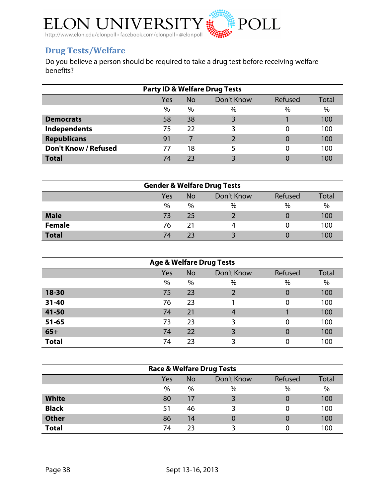

# **Drug Tests/Welfare**

Do you believe a person should be required to take a drug test before receiving welfare benefits?

| <b>Party ID &amp; Welfare Drug Tests</b> |      |      |                |         |       |  |  |  |  |  |
|------------------------------------------|------|------|----------------|---------|-------|--|--|--|--|--|
|                                          | Yes  | No   | Don't Know     | Refused | Total |  |  |  |  |  |
|                                          | $\%$ | $\%$ | $\%$           | $\%$    | $\%$  |  |  |  |  |  |
| <b>Democrats</b>                         | 58   | 38   | っ              |         | 100   |  |  |  |  |  |
| Independents                             | 75   | 22   |                | 0       | 100   |  |  |  |  |  |
| <b>Republicans</b>                       | 91   | 7    |                | 0       | 100   |  |  |  |  |  |
| <b>Don't Know / Refused</b>              | 77   | 18   |                | 0       | 100   |  |  |  |  |  |
| <b>Total</b>                             | 74   | 23   | $\overline{ }$ |         | 100   |  |  |  |  |  |

| <b>Gender &amp; Welfare Drug Tests</b> |                                                    |      |      |      |      |  |  |  |  |  |
|----------------------------------------|----------------------------------------------------|------|------|------|------|--|--|--|--|--|
|                                        | Refused<br>Yes<br>Total<br>Don't Know<br><b>No</b> |      |      |      |      |  |  |  |  |  |
|                                        | $\%$                                               | $\%$ | $\%$ | $\%$ | $\%$ |  |  |  |  |  |
| <b>Male</b>                            | 73                                                 | 25   |      |      | 100  |  |  |  |  |  |
| <b>Female</b>                          | 76                                                 | 21   |      |      | 100  |  |  |  |  |  |
| <b>Total</b>                           | 74                                                 | つろ   |      |      | 100  |  |  |  |  |  |

| <b>Age &amp; Welfare Drug Tests</b> |     |           |            |         |              |  |  |  |  |  |
|-------------------------------------|-----|-----------|------------|---------|--------------|--|--|--|--|--|
|                                     | Yes | <b>No</b> | Don't Know | Refused | <b>Total</b> |  |  |  |  |  |
|                                     | %   | $\%$      | %          | $\%$    | %            |  |  |  |  |  |
| $18 - 30$                           | 75  | 23        |            | 0       | 100          |  |  |  |  |  |
| $31 - 40$                           | 76  | 23        |            | 0       | 100          |  |  |  |  |  |
| 41-50                               | 74  | 21        | 4          |         | 100          |  |  |  |  |  |
| $51 - 65$                           | 73  | 23        | ξ          | 0       | 100          |  |  |  |  |  |
| $65+$                               | 74  | 22        | 3          | 0       | 100          |  |  |  |  |  |
| <b>Total</b>                        | 74  | 23        | ς          | 0       | 100          |  |  |  |  |  |

| <b>Race &amp; Welfare Drug Tests</b> |                                                    |      |   |      |      |  |  |  |  |  |
|--------------------------------------|----------------------------------------------------|------|---|------|------|--|--|--|--|--|
|                                      | Don't Know<br>Refused<br>Yes<br><b>No</b><br>Total |      |   |      |      |  |  |  |  |  |
|                                      | $\%$                                               | $\%$ | % | $\%$ | $\%$ |  |  |  |  |  |
| <b>White</b>                         | 80                                                 | 17   |   |      | 100  |  |  |  |  |  |
| <b>Black</b>                         | 51                                                 | 46   | 3 |      | 100  |  |  |  |  |  |
| <b>Other</b>                         | 86                                                 | 14   | 0 |      | 100  |  |  |  |  |  |
| <b>Total</b>                         | 74                                                 | つろ   | 5 |      | 100  |  |  |  |  |  |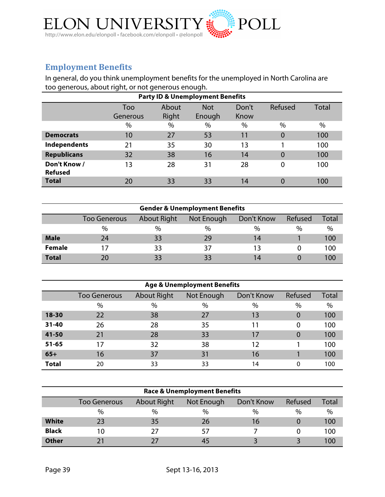

# **Employment Benefits**

In general, do you think unemployment benefits for the unemployed in North Carolina are too generous, about right, or not generous enough.

|                    |          |       | <b>Party ID &amp; Unemployment Benefits</b> |       |                |       |
|--------------------|----------|-------|---------------------------------------------|-------|----------------|-------|
|                    | Too      | About | <b>Not</b>                                  | Don't | Refused        | Total |
|                    | Generous | Right | Enough                                      | Know  |                |       |
|                    | %        | %     | $\%$                                        | %     | $\%$           | $\%$  |
| <b>Democrats</b>   | 10       | 27    | 53                                          | 11    | $\overline{0}$ | 100   |
| Independents       | 21       | 35    | 30                                          | 13    |                | 100   |
| <b>Republicans</b> | 32       | 38    | 16                                          | 14    | $\overline{0}$ | 100   |
| Don't Know /       | 13       | 28    | 31                                          | 28    | 0              | 100   |
| <b>Refused</b>     |          |       |                                             |       |                |       |
| <b>Total</b>       | 20       | 33    | 33                                          | 14    | $\Omega$       | 100   |

|               | <b>Gender &amp; Unemployment Benefits</b> |             |               |            |         |       |  |  |  |  |
|---------------|-------------------------------------------|-------------|---------------|------------|---------|-------|--|--|--|--|
|               | <b>Too Generous</b>                       | About Right | Not Enough    | Don't Know | Refused | Total |  |  |  |  |
|               | $\%$                                      | $\%$        | $\frac{0}{0}$ | %          | $\%$    | %     |  |  |  |  |
| <b>Male</b>   | 24                                        | 33          | 29            | 14         |         | 100   |  |  |  |  |
| <b>Female</b> |                                           | 33          | 37            | 13         |         | 100   |  |  |  |  |
| <b>Total</b>  |                                           | 33          | 33            | 14         |         | 100   |  |  |  |  |

|              | <b>Age &amp; Unemployment Benefits</b> |                    |            |            |          |       |  |  |  |  |
|--------------|----------------------------------------|--------------------|------------|------------|----------|-------|--|--|--|--|
|              | <b>Too Generous</b>                    | <b>About Right</b> | Not Enough | Don't Know | Refused  | Total |  |  |  |  |
|              | %                                      | $\%$               | $\%$       | $\%$       | $\%$     | $\%$  |  |  |  |  |
| $18 - 30$    | 22                                     | 38                 | 27         | 13         | 0        | 100   |  |  |  |  |
| $31 - 40$    | 26                                     | 28                 | 35         | 11         | $\Omega$ | 100   |  |  |  |  |
| 41-50        | 21                                     | 28                 | 33         | 17         | 0        | 100   |  |  |  |  |
| $51 - 65$    | 17                                     | 32                 | 38         | 12         |          | 100   |  |  |  |  |
| $65+$        | 16                                     | 37                 | 31         | 16         |          | 100   |  |  |  |  |
| <b>Total</b> | 20                                     | 33                 | 33         | 14         | 0        | 100   |  |  |  |  |

|              | <b>Race &amp; Unemployment Benefits</b> |                    |            |            |         |              |  |  |  |  |
|--------------|-----------------------------------------|--------------------|------------|------------|---------|--------------|--|--|--|--|
|              | <b>Too Generous</b>                     | <b>About Right</b> | Not Enough | Don't Know | Refused | <b>Total</b> |  |  |  |  |
|              | $\%$                                    | %                  | %          | $\%$       | $\%$    | %            |  |  |  |  |
| <b>White</b> | 23                                      | 35                 | 26         | 16         |         | 100          |  |  |  |  |
| <b>Black</b> | 10                                      | 27                 | 57         |            |         | 100          |  |  |  |  |
| <b>Other</b> |                                         |                    | 45         |            |         | 100          |  |  |  |  |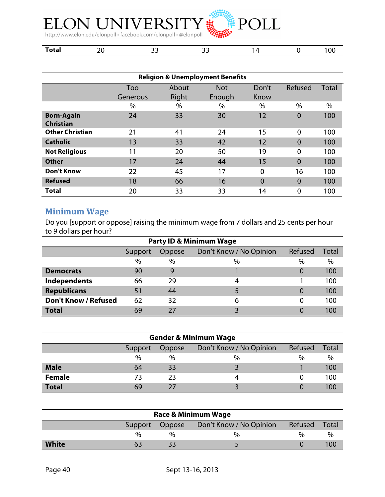

|--|

| <b>Religion &amp; Unemployment Benefits</b> |          |       |            |                |                |              |  |  |  |  |
|---------------------------------------------|----------|-------|------------|----------------|----------------|--------------|--|--|--|--|
|                                             | Too      | About | <b>Not</b> | Don't          | Refused        | <b>Total</b> |  |  |  |  |
|                                             | Generous | Right | Enough     | Know           |                |              |  |  |  |  |
|                                             | %        | $\%$  | $\%$       | %              | $\%$           | $\%$         |  |  |  |  |
| <b>Born-Again</b><br><b>Christian</b>       | 24       | 33    | 30         | 12             | $\overline{0}$ | 100          |  |  |  |  |
| <b>Other Christian</b>                      | 21       | 41    | 24         | 15             | $\mathbf 0$    | 100          |  |  |  |  |
| <b>Catholic</b>                             | 13       | 33    | 42         | 12             | $\overline{0}$ | 100          |  |  |  |  |
| <b>Not Religious</b>                        | 11       | 20    | 50         | 19             | 0              | 100          |  |  |  |  |
| <b>Other</b>                                | 17       | 24    | 44         | 15             | $\Omega$       | 100          |  |  |  |  |
| <b>Don't Know</b>                           | 22       | 45    | 17         | $\overline{0}$ | 16             | 100          |  |  |  |  |
| <b>Refused</b>                              | 18       | 66    | 16         | $\Omega$       | $\Omega$       | 100          |  |  |  |  |
| <b>Total</b>                                | 20       | 33    | 33         | 14             | 0              | 100          |  |  |  |  |

# **Minimum Wage**

Do you [support or oppose] raising the minimum wage from 7 dollars and 25 cents per hour to 9 dollars per hour?

| <b>Party ID &amp; Minimum Wage</b> |         |        |                         |         |       |  |  |  |  |
|------------------------------------|---------|--------|-------------------------|---------|-------|--|--|--|--|
|                                    | Support | Oppose | Don't Know / No Opinion | Refused | Total |  |  |  |  |
|                                    | $\%$    | $\%$   | $\%$                    | $\%$    | $\%$  |  |  |  |  |
| <b>Democrats</b>                   | 90      | 9      |                         | 0       | 100   |  |  |  |  |
| Independents                       | 66      | 29     | 4                       |         | 100   |  |  |  |  |
| <b>Republicans</b>                 | 51      | 44     |                         | 0       | 100   |  |  |  |  |
| <b>Don't Know / Refused</b>        | 62      | 32     | 6                       |         | 100   |  |  |  |  |
| <b>Total</b>                       | 69      | 27     | ς                       |         | 100   |  |  |  |  |

| <b>Gender &amp; Minimum Wage</b> |         |        |                         |         |              |  |  |  |
|----------------------------------|---------|--------|-------------------------|---------|--------------|--|--|--|
|                                  | Support | Oppose | Don't Know / No Opinion | Refused | <b>Total</b> |  |  |  |
|                                  | $\%$    | $\%$   | $\%$                    | %       | %            |  |  |  |
| <b>Male</b>                      | 64      | 33     |                         |         | 100          |  |  |  |
| <b>Female</b>                    | 73      | 23     |                         |         | 100          |  |  |  |
| <b>Total</b>                     | 69      | 77     |                         |         | 100          |  |  |  |

| Race & Minimum Wage |               |               |                         |         |              |  |  |
|---------------------|---------------|---------------|-------------------------|---------|--------------|--|--|
|                     | Support       | Oppose        | Don't Know / No Opinion | Refused | <b>Total</b> |  |  |
|                     | $\frac{0}{0}$ | $\frac{0}{0}$ | $\%$                    | $\%$    | $\%$         |  |  |
| White               |               |               |                         |         | 100          |  |  |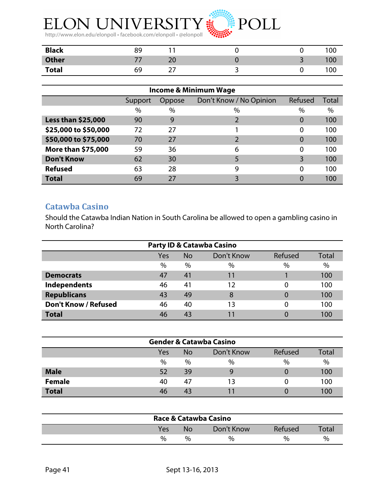

| <b>Black</b> | oσ | . . |  | 100 |
|--------------|----|-----|--|-----|
| <b>Other</b> |    | าเ  |  | 00  |
| <b>Total</b> |    | רר  |  | 100 |

| <b>Income &amp; Minimum Wage</b> |         |        |                         |         |       |  |  |  |  |
|----------------------------------|---------|--------|-------------------------|---------|-------|--|--|--|--|
|                                  | Support | Oppose | Don't Know / No Opinion | Refused | Total |  |  |  |  |
|                                  | $\%$    | $\%$   | $\%$                    | $\%$    | $\%$  |  |  |  |  |
| <b>Less than \$25,000</b>        | 90      | 9      |                         | 0       | 100   |  |  |  |  |
| \$25,000 to \$50,000             | 72      | 27     |                         | 0       | 100   |  |  |  |  |
| \$50,000 to \$75,000             | 70      | 27     |                         | 0       | 100   |  |  |  |  |
| More than \$75,000               | 59      | 36     | 6                       | 0       | 100   |  |  |  |  |
| <b>Don't Know</b>                | 62      | 30     |                         | 3       | 100   |  |  |  |  |
| <b>Refused</b>                   | 63      | 28     | 9                       | 0       | 100   |  |  |  |  |
| <b>Total</b>                     | 69      | 27     | 3                       | 0       | 100   |  |  |  |  |

## **Catawba Casino**

Should the Catawba Indian Nation in South Carolina be allowed to open a gambling casino in North Carolina?

| <b>Party ID &amp; Catawba Casino</b> |      |           |            |         |       |  |
|--------------------------------------|------|-----------|------------|---------|-------|--|
|                                      | Yes  | <b>No</b> | Don't Know | Refused | Total |  |
|                                      | $\%$ | $\%$      | $\%$       | $\%$    | $\%$  |  |
| <b>Democrats</b>                     | 47   | 41        | 11         |         | 100   |  |
| <b>Independents</b>                  | 46   | 41        | 12         | 0       | 100   |  |
| <b>Republicans</b>                   | 43   | 49        | 8          | 0       | 100   |  |
| <b>Don't Know / Refused</b>          | 46   | 40        | 13         | 0       | 100   |  |
| <b>Total</b>                         | 46   | 43        | 11         |         | 100   |  |

| <b>Gender &amp; Catawba Casino</b> |     |           |            |         |       |  |
|------------------------------------|-----|-----------|------------|---------|-------|--|
|                                    | Yes | <b>No</b> | Don't Know | Refused | Total |  |
|                                    | %   | $\%$      | $\%$       | $\%$    | $\%$  |  |
| <b>Male</b>                        | 52  | 39        | q          |         | 100   |  |
| <b>Female</b>                      | 40  | 47        | 13         | 0       | 100   |  |
| <b>Total</b>                       | 46  | 43        |            |         | 100   |  |

| <b>Race &amp; Catawba Casino</b> |      |      |            |         |              |
|----------------------------------|------|------|------------|---------|--------------|
|                                  | Yes  | No   | Don't Know | Refused | <b>Total</b> |
|                                  | $\%$ | $\%$ | $\%$       | $\%$    | $\%$         |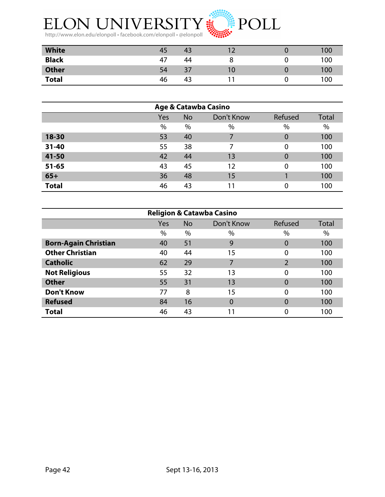

| <b>White</b> | 45 | 43 |   | 100 |
|--------------|----|----|---|-----|
| <b>Black</b> | 47 | 44 |   | 100 |
| <b>Other</b> | 54 | 37 | U | 100 |
| <b>Total</b> | 46 | 43 |   | 100 |

| <b>Age &amp; Catawba Casino</b> |     |           |            |                |              |  |
|---------------------------------|-----|-----------|------------|----------------|--------------|--|
|                                 | Yes | <b>No</b> | Don't Know | Refused        | <b>Total</b> |  |
|                                 | %   | %         | %          | $\%$           | $\%$         |  |
| 18-30                           | 53  | 40        | 7          | $\mathbf 0$    | 100          |  |
| $31 - 40$                       | 55  | 38        | 7          | $\overline{0}$ | 100          |  |
| 41-50                           | 42  | 44        | 13         | $\overline{0}$ | 100          |  |
| $51 - 65$                       | 43  | 45        | 12         | $\Omega$       | 100          |  |
| $65+$                           | 36  | 48        | 15         |                | 100          |  |
| <b>Total</b>                    | 46  | 43        | 11         | $\Omega$       | 100          |  |

| <b>Religion &amp; Catawba Casino</b> |     |           |            |                |              |
|--------------------------------------|-----|-----------|------------|----------------|--------------|
|                                      | Yes | <b>No</b> | Don't Know | Refused        | <b>Total</b> |
|                                      | %   | $\%$      | $\%$       | $\%$           | $\%$         |
| <b>Born-Again Christian</b>          | 40  | 51        | 9          | 0              | 100          |
| <b>Other Christian</b>               | 40  | 44        | 15         | 0              | 100          |
| <b>Catholic</b>                      | 62  | 29        | 7          | $\overline{2}$ | 100          |
| <b>Not Religious</b>                 | 55  | 32        | 13         | 0              | 100          |
| <b>Other</b>                         | 55  | 31        | 13         | 0              | 100          |
| <b>Don't Know</b>                    | 77  | 8         | 15         | $\Omega$       | 100          |
| <b>Refused</b>                       | 84  | 16        | $\Omega$   | 0              | 100          |
| <b>Total</b>                         | 46  | 43        | 11         | 0              | 100          |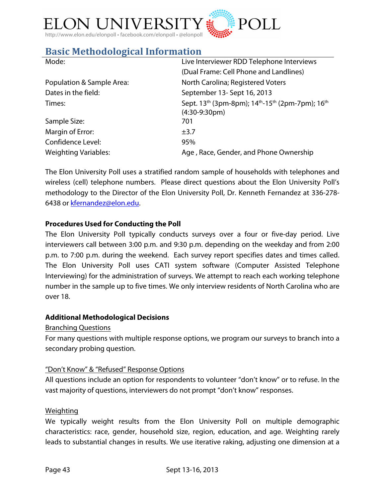

# **Basic(Methodological Information**

| Live Interviewer RDD Telephone Interviews                                                        |
|--------------------------------------------------------------------------------------------------|
| (Dual Frame: Cell Phone and Landlines)                                                           |
| North Carolina; Registered Voters                                                                |
| September 13- Sept 16, 2013                                                                      |
| Sept. 13 <sup>th</sup> (3pm-8pm); 14 <sup>th</sup> -15 <sup>th</sup> (2pm-7pm); 16 <sup>th</sup> |
| $(4:30-9:30pm)$                                                                                  |
| 701                                                                                              |
| $\pm$ 3.7                                                                                        |
| 95%                                                                                              |
| Age, Race, Gender, and Phone Ownership                                                           |
|                                                                                                  |

The Elon University Poll uses a stratified random sample of households with telephones and wireless (cell) telephone numbers. Please direct questions about the Elon University Poll's methodology to the Director of the Elon University Poll, Dr. Kenneth Fernandez at 336-278- 6438 or kfernandez@elon.edu.

## **Procedures Used for Conducting the Poll**

The Elon University Poll typically conducts surveys over a four or five-day period. Live interviewers call between 3:00 p.m. and 9:30 p.m. depending on the weekday and from 2:00 p.m. to 7:00 p.m. during the weekend. Each survey report specifies dates and times called. The Elon University Poll uses CATI system software (Computer Assisted Telephone Interviewing) for the administration of surveys. We attempt to reach each working telephone number in the sample up to five times. We only interview residents of North Carolina who are over 18.

## **Additional Methodological Decisions**

#### Branching Questions

For many questions with multiple response options, we program our surveys to branch into a secondary probing question.

## "Don't Know" & "Refused" Response Options

All questions include an option for respondents to volunteer "don't know" or to refuse. In the vast majority of questions, interviewers do not prompt "don't know" responses.

#### Weighting

We typically weight results from the Elon University Poll on multiple demographic characteristics: race, gender, household size, region, education, and age. Weighting rarely leads to substantial changes in results. We use iterative raking, adjusting one dimension at a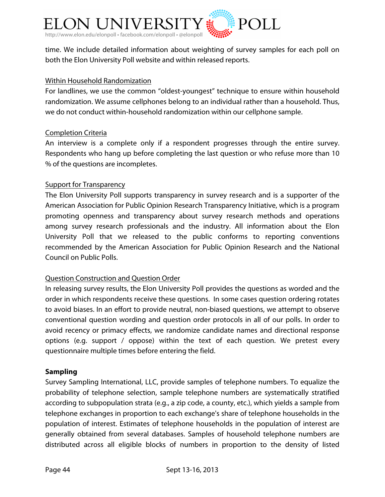

time. We include detailed information about weighting of survey samples for each poll on both the Elon University Poll website and within released reports.

## Within Household Randomization

For landlines, we use the common "oldest-youngest" technique to ensure within household randomization. We assume cellphones belong to an individual rather than a household. Thus, we do not conduct within-household randomization within our cellphone sample.

## Completion Criteria

An interview is a complete only if a respondent progresses through the entire survey. Respondents who hang up before completing the last question or who refuse more than 10 % of the questions are incompletes.

## Support for Transparency

The Elon University Poll supports transparency in survey research and is a supporter of the American Association for Public Opinion Research Transparency Initiative, which is a program promoting openness and transparency about survey research methods and operations among survey research professionals and the industry. All information about the Elon University Poll that we released to the public conforms to reporting conventions recommended by the American Association for Public Opinion Research and the National Council on Public Polls.

## Question Construction and Question Order

In releasing survey results, the Elon University Poll provides the questions as worded and the order in which respondents receive these questions. In some cases question ordering rotates to avoid biases. In an effort to provide neutral, non-biased questions, we attempt to observe conventional question wording and question order protocols in all of our polls. In order to avoid recency or primacy effects, we randomize candidate names and directional response options (e.g. support / oppose) within the text of each question. We pretest every questionnaire multiple times before entering the field.

#### **Sampling**

Survey Sampling International, LLC, provide samples of telephone numbers. To equalize the probability of telephone selection, sample telephone numbers are systematically stratified according to subpopulation strata (e.g., a zip code, a county, etc.), which yields a sample from telephone exchanges in proportion to each exchange's share of telephone households in the population of interest. Estimates of telephone households in the population of interest are generally obtained from several databases. Samples of household telephone numbers are distributed across all eligible blocks of numbers in proportion to the density of listed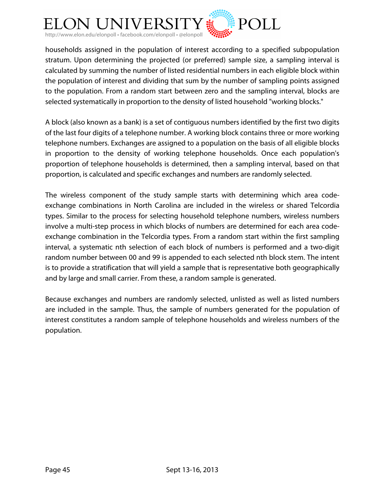

households assigned in the population of interest according to a specified subpopulation stratum. Upon determining the projected (or preferred) sample size, a sampling interval is calculated by summing the number of listed residential numbers in each eligible block within the population of interest and dividing that sum by the number of sampling points assigned to the population. From a random start between zero and the sampling interval, blocks are selected systematically in proportion to the density of listed household "working blocks."

A block (also known as a bank) is a set of contiguous numbers identified by the first two digits of the last four digits of a telephone number. A working block contains three or more working telephone numbers. Exchanges are assigned to a population on the basis of all eligible blocks in proportion to the density of working telephone households. Once each population's proportion of telephone households is determined, then a sampling interval, based on that proportion, is calculated and specific exchanges and numbers are randomly selected.

The wireless component of the study sample starts with determining which area codeexchange combinations in North Carolina are included in the wireless or shared Telcordia types. Similar to the process for selecting household telephone numbers, wireless numbers involve a multi-step process in which blocks of numbers are determined for each area codeexchange combination in the Telcordia types. From a random start within the first sampling interval, a systematic nth selection of each block of numbers is performed and a two-digit random number between 00 and 99 is appended to each selected nth block stem. The intent is to provide a stratification that will yield a sample that is representative both geographically and by large and small carrier. From these, a random sample is generated.

Because exchanges and numbers are randomly selected, unlisted as well as listed numbers are included in the sample. Thus, the sample of numbers generated for the population of interest constitutes a random sample of telephone households and wireless numbers of the population.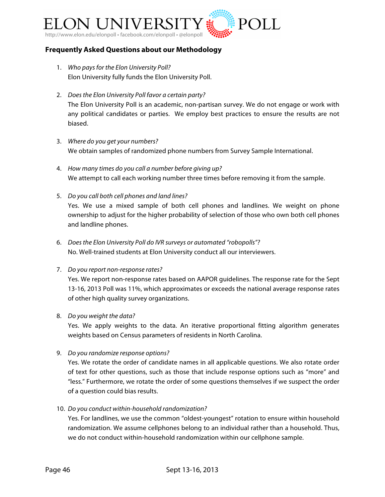

#### **Frequently Asked Questions about our Methodology**

- 1. *Who pays for the Elon University Poll?* Elon University fully funds the Elon University Poll.
- 2. *Does the Elon University Poll favor a certain party?* The Elon University Poll is an academic, non-partisan survey. We do not engage or work with any political candidates or parties. We employ best practices to ensure the results are not biased.
- 3. *Where do you get your numbers?* We obtain samples of randomized phone numbers from Survey Sample International.
- 4. *How many times do you call a number before giving up?* We attempt to call each working number three times before removing it from the sample.
- 5. *Do you call both cell phones and land lines?* Yes. We use a mixed sample of both cell phones and landlines. We weight on phone ownership to adjust for the higher probability of selection of those who own both cell phones and landline phones.
- 6. *Does the Elon University Poll do IVR surveys or automated "robopolls"?* No. Well-trained students at Elon University conduct all our interviewers.
- 7. *Do you report non-response rates?*

Yes. We report non-response rates based on AAPOR guidelines. The response rate for the Sept 13-16, 2013 Poll was 11%, which approximates or exceeds the national average response rates of other high quality survey organizations.

8. *Do you weight the data?*

Yes. We apply weights to the data. An iterative proportional fitting algorithm generates weights based on Census parameters of residents in North Carolina.

9. *Do you randomize response options?*

Yes. We rotate the order of candidate names in all applicable questions. We also rotate order of text for other questions, such as those that include response options such as "more" and "less." Furthermore, we rotate the order of some questions themselves if we suspect the order of a question could bias results.

10. *Do you conduct within-household randomization?*

Yes. For landlines, we use the common "oldest-youngest" rotation to ensure within household randomization. We assume cellphones belong to an individual rather than a household. Thus, we do not conduct within-household randomization within our cellphone sample.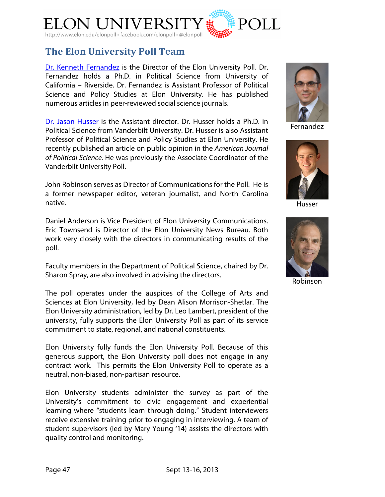

# **The Elon University Poll Team**

Dr. Kenneth Fernandez is the Director of the Elon University Poll. Dr. Fernandez holds a Ph.D. in Political Science from University of California – Riverside. Dr. Fernandez is Assistant Professor of Political Science and Policy Studies at Elon University. He has published numerous articles in peer-reviewed social science journals.

Dr. Jason Husser is the Assistant director. Dr. Husser holds a Ph.D. in Political Science from Vanderbilt University. Dr. Husser is also Assistant Professor of Political Science and Policy Studies at Elon University. He recently published an article on public opinion in the *American Journal of Political Science.* He was previously the Associate Coordinator of the Vanderbilt University Poll.

John Robinson serves as Director of Communications for the Poll. He is a former newspaper editor, veteran journalist, and North Carolina native.

Daniel Anderson is Vice President of Elon University Communications. Eric Townsend is Director of the Elon University News Bureau. Both work very closely with the directors in communicating results of the poll.

Faculty members in the Department of Political Science, chaired by Dr. Sharon Spray, are also involved in advising the directors.

The poll operates under the auspices of the College of Arts and Sciences at Elon University, led by Dean Alison Morrison-Shetlar. The Elon University administration, led by Dr. Leo Lambert, president of the university, fully supports the Elon University Poll as part of its service commitment to state, regional, and national constituents.

Elon University fully funds the Elon University Poll. Because of this generous support, the Elon University poll does not engage in any contract work. This permits the Elon University Poll to operate as a neutral, non-biased, non-partisan resource.

Elon University students administer the survey as part of the University's commitment to civic engagement and experiential learning where "students learn through doing." Student interviewers receive extensive training prior to engaging in interviewing. A team of student supervisors (led by Mary Young '14) assists the directors with quality control and monitoring.



Fernandez



Husser



Robinson